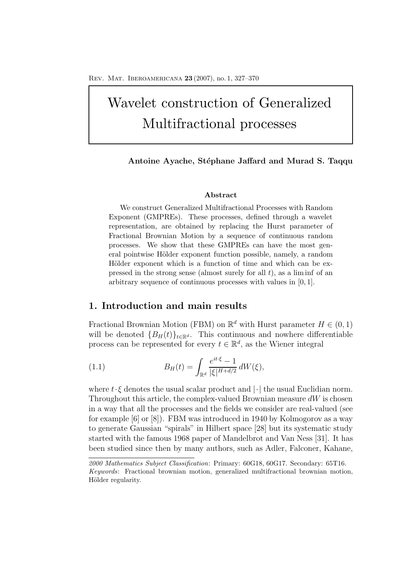# Wavelet construction of Generalized Multifractional processes

# Antoine Ayache, Stéphane Jaffard and Murad S. Taqqu

### **Abstract**

We construct Generalized Multifractional Processes with Random Exponent (GMPREs). These processes, defined through a wavelet representation, are obtained by replacing the Hurst parameter of Fractional Brownian Motion by a sequence of continuous random processes. We show that these GMPREs can have the most general pointwise Hölder exponent function possible, namely, a random Hölder exponent which is a function of time and which can be expressed in the strong sense (almost surely for all *t*), as a lim inf of an arbitrary sequence of continuous processes with values in [0*,* 1].

# **1. Introduction and main results**

Fractional Brownian Motion (FBM) on  $\mathbb{R}^d$  with Hurst parameter  $H \in (0,1)$ will be denoted  ${B_H(t)}_{t \in \mathbb{R}^d}$ . This continuous and nowhere differentiable process can be represented for every  $t \in \mathbb{R}^d$ , as the Wiener integral

(1.1) 
$$
B_H(t) = \int_{\mathbb{R}^d} \frac{e^{it\cdot\xi} - 1}{|\xi|^{H + d/2}} dW(\xi),
$$

where  $t \cdot \xi$  denotes the usual scalar product and  $|\cdot|$  the usual Euclidian norm. Throughout this article, the complex-valued Brownian measure  $dW$  is chosen in a way that all the processes and the fields we consider are real-valued (see for example [6] or [8]). FBM was introduced in 1940 by Kolmogorov as a way to generate Gaussian "spirals" in Hilbert space [28] but its systematic study started with the famous 1968 paper of Mandelbrot and Van Ness [31]. It has been studied since then by many authors, such as Adler, Falconer, Kahane,

*<sup>2000</sup> Mathematics Subject Classification*: Primary: 60G18, 60G17. Secondary: 65T16. *Keywords*: Fractional brownian motion, generalized multifractional brownian motion, Hölder regularity.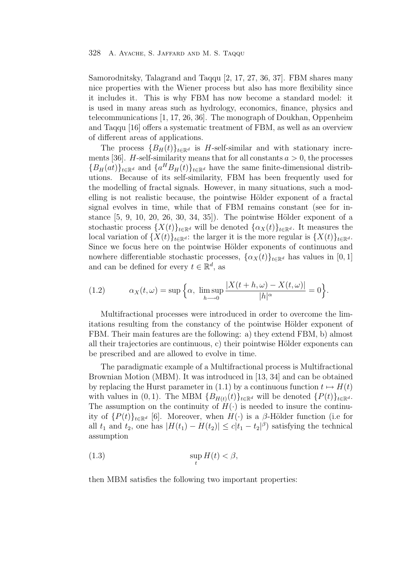Samorodnitsky, Talagrand and Taqqu [2, 17, 27, 36, 37]. FBM shares many nice properties with the Wiener process but also has more flexibility since it includes it. This is why FBM has now become a standard model: it is used in many areas such as hydrology, economics, finance, physics and telecommunications [1, 17, 26, 36]. The monograph of Doukhan, Oppenheim and Taqqu [16] offers a systematic treatment of FBM, as well as an overview of different areas of applications.

The process  ${B_H(t)}_{t \in \mathbb{R}^d}$  is H-self-similar and with stationary increments [36]. H-self-similarity means that for all constants  $a > 0$ , the processes  ${B_H(at)}_{t \in \mathbb{R}^d}$  and  ${a^H B_H(t)}_{t \in \mathbb{R}^d}$  have the same finite-dimensional distributions. Because of its self-similarity, FBM has been frequently used for the modelling of fractal signals. However, in many situations, such a modelling is not realistic because, the pointwise Hölder exponent of a fractal signal evolves in time, while that of FBM remains constant (see for instance  $[5, 9, 10, 20, 26, 30, 34, 35]$ . The pointwise Hölder exponent of a stochastic process  $\{X(t)\}_{t\in\mathbb{R}^d}$  will be denoted  $\{\alpha_X(t)\}_{t\in\mathbb{R}^d}$ . It measures the local variation of  $\{X(t)\}_t \in \mathbb{R}^d$ : the larger it is the more regular is  $\{X(t)\}_t \in \mathbb{R}^d$ . Since we focus here on the pointwise Hölder exponents of continuous and nowhere differentiable stochastic processes,  $\{\alpha_X(t)\}_t \in \mathbb{R}^d}$  has values in [0, 1] and can be defined for every  $t \in \mathbb{R}^d$ , as

(1.2) 
$$
\alpha_X(t,\omega) = \sup \Big\{ \alpha, \limsup_{h \to 0} \frac{|X(t+h,\omega) - X(t,\omega)|}{|h|^{\alpha}} = 0 \Big\}.
$$

Multifractional processes were introduced in order to overcome the limitations resulting from the constancy of the pointwise Hölder exponent of FBM. Their main features are the following: a) they extend FBM, b) almost all their trajectories are continuous, c) their pointwise Hölder exponents can be prescribed and are allowed to evolve in time.

The paradigmatic example of a Multifractional process is Multifractional Brownian Motion (MBM). It was introduced in [13, 34] and can be obtained by replacing the Hurst parameter in (1.1) by a continuous function  $t \mapsto H(t)$ with values in  $(0, 1)$ . The MBM  ${B_{H(t)}(t)}_{t \in \mathbb{R}^d}$  will be denoted  ${P(t)}_{t \in \mathbb{R}^d}$ . The assumption on the continuity of  $H(\cdot)$  is needed to insure the continuity of  $\{P(t)\}_{t\in\mathbb{R}^d}$  [6]. Moreover, when  $H(\cdot)$  is a  $\beta$ -Hölder function (i.e for all  $t_1$  and  $t_2$ , one has  $|H(t_1) - H(t_2)| \leq c|t_1 - t_2|^{\beta}$  satisfying the technical assumption

(1.3) 
$$
\sup_{t} H(t) < \beta,
$$

then MBM satisfies the following two important properties: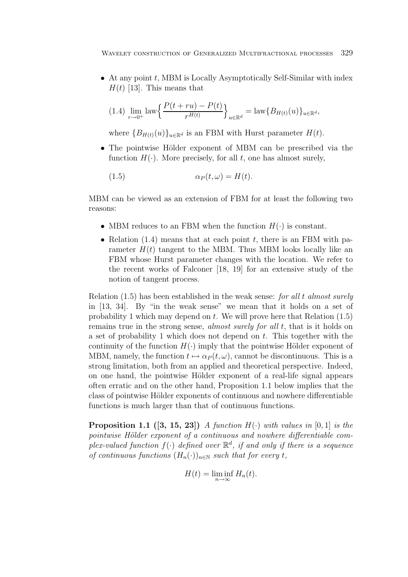$\bullet$  At any point t, MBM is Locally Asymptotically Self-Similar with index  $H(t)$  [13]. This means that

$$
(1.4)\lim_{r \to 0^+} \left\{ \frac{P(t+ru) - P(t)}{r^{H(t)}} \right\}_{u \in \mathbb{R}^d} = \text{law}\{B_{H(t)}(u)\}_{u \in \mathbb{R}^d},
$$

where  ${B_{H(t)}(u)}_{u \in \mathbb{R}^d}$  is an FBM with Hurst parameter  $H(t)$ .

• The pointwise Hölder exponent of MBM can be prescribed via the function  $H(\cdot)$ . More precisely, for all t, one has almost surely,

$$
(1.5) \t\t \t\t \alpha_P(t,\omega) = H(t).
$$

MBM can be viewed as an extension of FBM for at least the following two reasons:

- MBM reduces to an FBM when the function  $H(\cdot)$  is constant.
- Relation  $(1.4)$  means that at each point t, there is an FBM with parameter  $H(t)$  tangent to the MBM. Thus MBM looks locally like an FBM whose Hurst parameter changes with the location. We refer to the recent works of Falconer [18, 19] for an extensive study of the notion of tangent process.

Relation (1.5) has been established in the weak sense: for all t almost surely in [13, 34]. By "in the weak sense" we mean that it holds on a set of probability 1 which may depend on  $t$ . We will prove here that Relation  $(1.5)$ remains true in the strong sense, almost surely for all t, that is it holds on a set of probability 1 which does not depend on  $t$ . This together with the continuity of the function  $H(\cdot)$  imply that the pointwise Hölder exponent of MBM, namely, the function  $t \mapsto \alpha_P(t,\omega)$ , cannot be discontinuous. This is a strong limitation, both from an applied and theoretical perspective. Indeed, on one hand, the pointwise Hölder exponent of a real-life signal appears often erratic and on the other hand, Proposition 1.1 below implies that the class of pointwise Hölder exponents of continuous and nowhere differentiable functions is much larger than that of continuous functions.

**Proposition 1.1** ([3, 15, 23]) A function  $H(\cdot)$  with values in [0, 1] is the pointwise Hölder exponent of a continuous and nowhere differentiable complex-valued function  $f(\cdot)$  defined over  $\mathbb{R}^d$ , if and only if there is a sequence of continuous functions  $(H_n(\cdot))_{n\in\mathbb{N}}$  such that for every t,

$$
H(t) = \liminf_{n \to \infty} H_n(t).
$$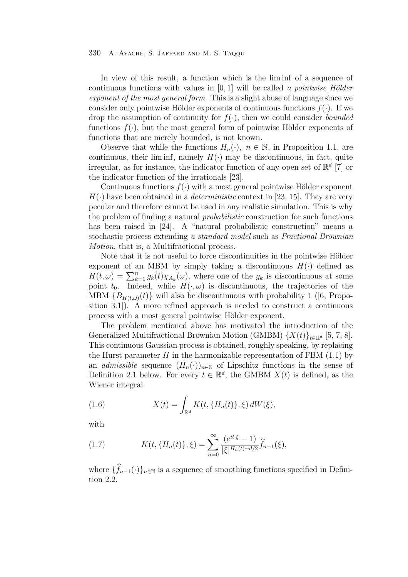In view of this result, a function which is the lim inf of a sequence of continuous functions with values in  $[0, 1]$  will be called a pointwise Hölder exponent of the most general form. This is a slight abuse of language since we consider only pointwise Hölder exponents of continuous functions  $f(\cdot)$ . If we drop the assumption of continuity for  $f(\cdot)$ , then we could consider *bounded* functions  $f(\cdot)$ , but the most general form of pointwise Hölder exponents of functions that are merely bounded, is not known.

Observe that while the functions  $H_n(\cdot)$ ,  $n \in \mathbb{N}$ , in Proposition 1.1, are continuous, their lim inf, namely  $H(\cdot)$  may be discontinuous, in fact, quite irregular, as for instance, the indicator function of any open set of  $\mathbb{R}^d$  [7] or the indicator function of the irrationals [23].

Continuous functions  $f(\cdot)$  with a most general pointwise Hölder exponent  $H(\cdot)$  have been obtained in a *deterministic* context in [23, 15]. They are very pecular and therefore cannot be used in any realistic simulation. This is why the problem of finding a natural probabilistic construction for such functions has been raised in [24]. A "natural probabilistic construction" means a stochastic process extending a standard model such as Fractional Brownian Motion, that is, a Multifractional process.

Note that it is not useful to force discontinuities in the pointwise Hölder exponent of an MBM by simply taking a discontinuous  $H(\cdot)$  defined as  $H(t,\omega) = \sum_{k=1}^{n} g_k(t) \chi_{A_k}(\omega)$ , where one of the  $g_k$  is discontinuous at some point  $t_s$ . Indeed, while  $H(\omega)$  is discontinuous, the trajectories of the point  $t_0$ . Indeed, while  $H(\cdot, \omega)$  is discontinuous, the trajectories of the MBM  ${B_{H(t,\omega)}(t)}$  will also be discontinuous with probability 1 ([6, Proposition 3.1]). A more refined approach is needed to construct a continuous process with a most general pointwise Hölder exponent.

The problem mentioned above has motivated the introduction of the Generalized Multifractional Brownian Motion (GMBM)  $\{X(t)\}_t \in \mathbb{R}^d$  [5, 7, 8]. This continuous Gaussian process is obtained, roughly speaking, by replacing the Hurst parameter H in the harmonizable representation of FBM  $(1.1)$  by an *admissible* sequence  $(H_n(\cdot))_{n\in\mathbb{N}}$  of Lipschitz functions in the sense of Definition 2.1 below. For every  $t \in \mathbb{R}^d$ , the GMBM  $X(t)$  is defined, as the Wiener integral

(1.6) 
$$
X(t) = \int_{\mathbb{R}^d} K(t, \{H_n(t)\}, \xi) dW(\xi),
$$

with

(1.7) 
$$
K(t, \{H_n(t)\}, \xi) = \sum_{n=0}^{\infty} \frac{(e^{it\cdot\xi} - 1)}{|\xi|^{H_n(t) + d/2}} \widehat{f}_{n-1}(\xi),
$$

where  $\{f_{n-1}(\cdot)\}_{n\in\mathbb{N}}$  is a sequence of smoothing functions specified in Definitions tion 2.2.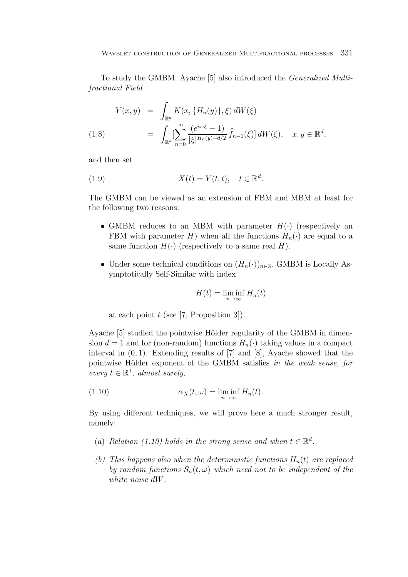To study the GMBM, Ayache [5] also introduced the Generalized Multifractional Field

$$
Y(x,y) = \int_{\mathbb{R}^d} K(x, \{H_n(y)\}, \xi) dW(\xi)
$$
  
(1.8) 
$$
= \int_{\mathbb{R}^d} \left[ \sum_{n=0}^{\infty} \frac{(e^{ix \cdot \xi} - 1)}{|\xi|^{H_n(y) + d/2}} \hat{f}_{n-1}(\xi) \right] dW(\xi), \quad x, y \in \mathbb{R}^d,
$$

and then set

(1.9) 
$$
X(t) = Y(t, t), \quad t \in \mathbb{R}^d.
$$

The GMBM can be viewed as an extension of FBM and MBM at least for the following two reasons:

- GMBM reduces to an MBM with parameter  $H(\cdot)$  (respectively an FBM with parameter H) when all the functions  $H_n(\cdot)$  are equal to a same function  $H(\cdot)$  (respectively to a same real H).
- Under some technical conditions on  $(H_n(\cdot))_{n\in\mathbb{N}}$ , GMBM is Locally Asymptotically Self-Similar with index

$$
H(t) = \liminf_{n \to \infty} H_n(t)
$$

at each point  $t$  (see [7, Proposition 3]).

Ayache [5] studied the pointwise Hölder regularity of the GMBM in dimension  $d = 1$  and for (non-random) functions  $H_n(\cdot)$  taking values in a compact interval in  $(0, 1)$ . Extending results of [7] and [8], Ayache showed that the pointwise Hölder exponent of the GMBM satisfies in the weak sense, for every  $t \in \mathbb{R}^1$ , almost surely,

(1.10) 
$$
\alpha_X(t,\omega) = \liminf_{n \to \infty} H_n(t).
$$

By using different techniques, we will prove here a much stronger result, namely:

- (a) Relation (1.10) holds in the strong sense and when  $t \in \mathbb{R}^d$ .
- (b) This happens also when the deterministic functions  $H_n(t)$  are replaced by random functions  $S_n(t, \omega)$  which need not to be independent of the white noise dW.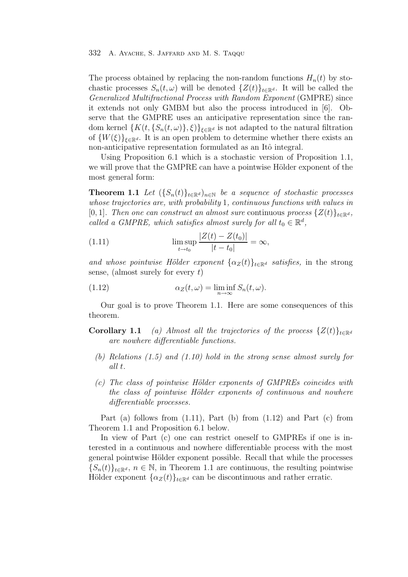The process obtained by replacing the non-random functions  $H_n(t)$  by stochastic processes  $S_n(t, \omega)$  will be denoted  $\{Z(t)\}_{t\in\mathbb{R}^d}$ . It will be called the Generalized Multifractional Process with Random Exponent (GMPRE) since it extends not only GMBM but also the process introduced in [6]. Observe that the GMPRE uses an anticipative representation since the random kernel  $\{K(t, \{S_n(t, \omega)\}, \xi)\}_{\xi \in \mathbb{R}^d}$  is not adapted to the natural filtration of  $\{W(\xi)\}_{\xi \in \mathbb{R}^d}$ . It is an open problem to determine whether there exists an non-anticipative representation formulated as an Itô integral.

Using Proposition 6.1 which is a stochastic version of Proposition 1.1, we will prove that the GMPRE can have a pointwise Hölder exponent of the most general form:

**Theorem 1.1** Let  $({S_n(t)}_{t\in\mathbb{R}^d})_{n\in\mathbb{N}}$  be a sequence of stochastic processes whose trajectories are, with probability 1, continuous functions with values in [0, 1]. Then one can construct an almost sure continuous process  $\{Z(t)\}_{t\in\mathbb{R}^d}$ , called a GMPRE, which satisfies almost surely for all  $t_0 \in \mathbb{R}^d$ ,

(1.11) 
$$
\limsup_{t \to t_0} \frac{|Z(t) - Z(t_0)|}{|t - t_0|} = \infty,
$$

and whose pointwise Hölder exponent  $\{\alpha_Z(t)\}_t \in \mathbb{R}^d$  satisfies, in the strong sense, (almost surely for every  $t$ )

(1.12) 
$$
\alpha_Z(t,\omega) = \liminf_{n \to \infty} S_n(t,\omega).
$$

Our goal is to prove Theorem 1.1. Here are some consequences of this theorem.

- **Corollary 1.1** (a) Almost all the trajectories of the process  $\{Z(t)\}_{t\in\mathbb{R}^d}$ are nowhere differentiable functions.
	- (b) Relations (1.5) and (1.10) hold in the strong sense almost surely for all t.
	- $(c)$  The class of pointwise Hölder exponents of GMPREs coincides with the class of pointwise Hölder exponents of continuous and nowhere differentiable processes.

Part (a) follows from  $(1.11)$ , Part (b) from  $(1.12)$  and Part  $(c)$  from Theorem 1.1 and Proposition 6.1 below.

In view of Part (c) one can restrict oneself to GMPREs if one is interested in a continuous and nowhere differentiable process with the most general pointwise Hölder exponent possible. Recall that while the processes  ${S_n(t)}_{t\in\mathbb{R}^d}$ ,  $n \in \mathbb{N}$ , in Theorem 1.1 are continuous, the resulting pointwise Hölder exponent  $\{\alpha_Z(t)\}_{t\in\mathbb{R}^d}$  can be discontinuous and rather erratic.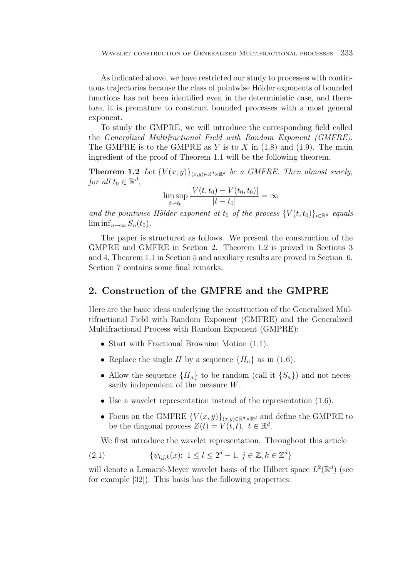As indicated above, we have restricted our study to processes with continuous trajectories because the class of pointwise Hölder exponents of bounded functions has not been identified even in the deterministic case, and therefore, it is premature to construct bounded processes with a most general exponent.

To study the GMPRE, we will introduce the corresponding field called the Generalized Multifractional Field with Random Exponent (GMFRE). The GMFRE is to the GMPRE as Y is to X in  $(1.8)$  and  $(1.9)$ . The main ingredient of the proof of Theorem 1.1 will be the following theorem.

**Theorem 1.2** Let  ${V(x, y)}_{(x, y) \in \mathbb{R}^d \times \mathbb{R}^d}$  be a GMFRE. Then almost surely, for all  $t_0 \in \mathbb{R}^d$ ,

$$
\limsup_{t \to t_0} \frac{|V(t, t_0) - V(t_0, t_0)|}{|t - t_0|} = \infty
$$

and the pointwise Hölder exponent at t<sub>0</sub> of the process  ${V(t, t_0)}_{t \in \mathbb{R}^d}$  equals  $\liminf_{n\to\infty}S_n(t_0)$ .

The paper is structured as follows. We present the construction of the GMPRE and GMFRE in Section 2. Theorem 1.2 is proved in Sections 3 and 4, Theorem 1.1 in Section 5 and auxiliary results are proved in Section 6. Section 7 contains some final remarks.

# **2. Construction of the GMFRE and the GMPRE**

Here are the basic ideas underlying the construction of the Generalized Multifractional Field with Random Exponent (GMFRE) and the Generalized Multifractional Process with Random Exponent (GMPRE):

- Start with Fractional Brownian Motion (1.1).
- Replace the single H by a sequence  $\{H_n\}$  as in (1.6).
- Allow the sequence  ${H_n}$  to be random (call it  ${S_n}$ ) and not necessarily independent of the measure W.
- Use a wavelet representation instead of the representation (1.6).
- Focus on the GMFRE  ${V(x,y)}_{(x,y)\in\mathbb{R}^d\times\mathbb{R}^d}$  and define the GMPRE to be the diagonal process  $Z(t) = V(t, t), t \in \mathbb{R}^d$ .

We first introduce the wavelet representation. Throughout this article

(2.1) 
$$
\{\psi_{l,j,k}(x); 1 \le l \le 2^d - 1, j \in \mathbb{Z}, k \in \mathbb{Z}^d\}
$$

will denote a Lemarié-Meyer wavelet basis of the Hilbert space  $L^2(\mathbb{R}^d)$  (see for example [32]). This basis has the following properties: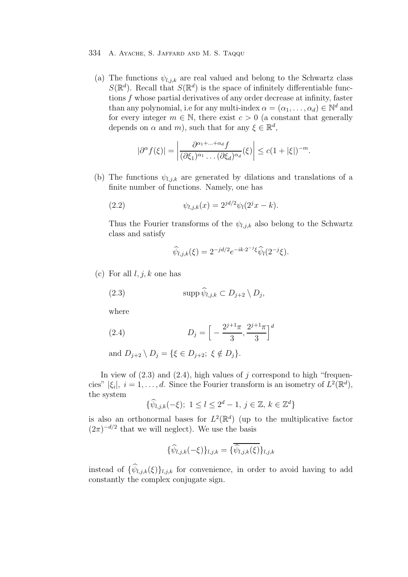(a) The functions  $\psi_{l,j,k}$  are real valued and belong to the Schwartz class  $S(\mathbb{R}^d)$ . Recall that  $S(\mathbb{R}^d)$  is the space of infinitely differentiable functions f whose partial derivatives of any order decrease at infinity, faster than any polynomial, i.e for any multi-index  $\alpha = (\alpha_1, \dots, \alpha_d) \in \mathbb{N}^d$  and for every integer  $m \in \mathbb{N}$ , there exist  $c > 0$  (a constant that generally depends on  $\alpha$  and m), such that for any  $\xi \in \mathbb{R}^d$ ,

$$
|\partial^{\alpha} f(\xi)| = \left| \frac{\partial^{\alpha_1 + \dots + \alpha_d} f}{(\partial \xi_1)^{\alpha_1} \dots (\partial \xi_d)^{\alpha_d}} (\xi) \right| \le c(1 + |\xi|)^{-m}.
$$

(b) The functions  $\psi_{l,j,k}$  are generated by dilations and translations of a finite number of functions. Namely, one has

(2.2) 
$$
\psi_{l,j,k}(x) = 2^{jd/2} \psi_l(2^j x - k).
$$

Thus the Fourier transforms of the  $\psi_{l,j,k}$  also belong to the Schwartz class and satisfy

$$
\widehat{\psi}_{l,j,k}(\xi) = 2^{-jd/2} e^{-ik \cdot 2^{-j} \xi} \widehat{\psi}_l(2^{-j} \xi).
$$

(c) For all  $l, j, k$  one has

(2.3) 
$$
\operatorname{supp}\widehat{\psi}_{l,j,k}\subset D_{j+2}\setminus D_j,
$$

where

(2.4) 
$$
D_j = \left[ -\frac{2^{j+1}\pi}{3}, \frac{2^{j+1}\pi}{3} \right]^d
$$

and  $D_{i+2} \setminus D_i = \{ \xi \in D_{i+2}; \xi \notin D_i \}.$ 

In view of  $(2.3)$  and  $(2.4)$ , high values of j correspond to high "frequencies"  $|\xi_i|, i = 1,\ldots,d$ . Since the Fourier transform is an isometry of  $L^2(\mathbb{R}^d)$ , the system

$$
\{\widehat{\psi}_{l,j,k}(-\xi); 1 \le l \le 2^d - 1, j \in \mathbb{Z}, k \in \mathbb{Z}^d\}
$$

is also an orthonormal bases for  $L^2(\mathbb{R}^d)$  (up to the multiplicative factor  $(2\pi)^{-d/2}$  that we will neglect). We use the basis

$$
\{\widehat{\psi}_{l,j,k}(-\xi)\}_{l,j,k} = \{\overline{\widehat{\psi}_{l,j,k}(\xi)}\}_{l,j,k}
$$

instead of  $\{\widehat{\psi}_{l,j,k}(\xi)\}_{l,j,k}$  for convenience, in order to avoid having to add constantly the complex conjugate sign.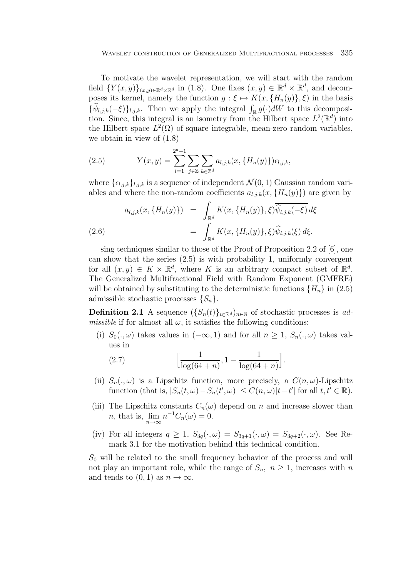To motivate the wavelet representation, we will start with the random field  $\{Y(x,y)\}_{(x,y)\in\mathbb{R}^d\times\mathbb{R}^d}$  in (1.8). One fixes  $(x,y)\in\mathbb{R}^d\times\mathbb{R}^d$ , and decomposes its kernel, namely the function  $g: \xi \mapsto K(x, \{H_n(y)\}, \xi)$  in the basis  $\{\widehat{\psi}_{l,j,k}(-\xi)\}_{l,j,k}$ . Then we apply the integral  $\int_{\mathbb{R}} g(\cdot) dW$  to this decomposition. Since, this integral is an isometry from the Hilbert space  $L^2(\mathbb{R}^d)$  into the Hilbert space  $L^2(\Omega)$  of square integrable, mean-zero random variables, we obtain in view of (1.8)

(2.5) 
$$
Y(x,y) = \sum_{l=1}^{2^d-1} \sum_{j \in \mathbb{Z}} \sum_{k \in \mathbb{Z}^d} a_{l,j,k}(x, \{H_n(y)\}) \epsilon_{l,j,k},
$$

where  $\{\epsilon_{l,j,k}\}_{l,j,k}$  is a sequence of independent  $\mathcal{N}(0, 1)$  Gaussian random variables and where the non-random coefficients  $a_{l,j,k}(x, {H_n(y)})$  are given by

(2.6) 
$$
a_{l,j,k}(x, \{H_n(y)\}) = \int_{\mathbb{R}^d} K(x, \{H_n(y)\}, \xi) \overline{\hat{\psi}_{l,j,k}(-\xi)} d\xi = \int_{\mathbb{R}^d} K(x, \{H_n(y)\}, \xi) \hat{\psi}_{l,j,k}(\xi) d\xi.
$$

sing techniques similar to those of the Proof of Proposition 2.2 of [6], one can show that the series (2.5) is with probability 1, uniformly convergent for all  $(x, y) \in K \times \mathbb{R}^d$ , where K is an arbitrary compact subset of  $\mathbb{R}^d$ . The Generalized Multifractional Field with Random Exponent (GMFRE) will be obtained by substituting to the deterministic functions  $\{H_n\}$  in (2.5) admissible stochastic processes  $\{S_n\}.$ 

**Definition 2.1** A sequence  $({S_n(t)}_{t\in\mathbb{R}^d})_{n\in\mathbb{N}}$  of stochastic processes is ad*missible* if for almost all  $\omega$ , it satisfies the following conditions:

(i)  $S_0(.,\omega)$  takes values in  $(-\infty,1)$  and for all  $n\geq 1$ ,  $S_n(.,\omega)$  takes values in

(2.7) 
$$
\left[\frac{1}{\log(64+n)}, 1 - \frac{1}{\log(64+n)}\right].
$$

- (ii)  $S_n(.,\omega)$  is a Lipschitz function, more precisely, a  $C(n,\omega)$ -Lipschitz function (that is,  $|S_n(t, \omega) - S_n(t', \omega)| \le C(n, \omega)|t - t'|$  for all  $t, t' \in \mathbb{R}$ ).
- (iii) The Lipschitz constants  $C_n(\omega)$  depend on n and increase slower than *n*, that is,  $\lim_{n \to \infty} n^{-1}C_n(\omega) = 0.$
- (iv) For all integers  $q \geq 1$ ,  $S_{3q}(\cdot,\omega) = S_{3q+1}(\cdot,\omega) = S_{3q+2}(\cdot,\omega)$ . See Remark 3.1 for the motivation behind this technical condition.

 $S_0$  will be related to the small frequency behavior of the process and will not play an important role, while the range of  $S_n$ ,  $n \geq 1$ , increases with n and tends to  $(0, 1)$  as  $n \to \infty$ .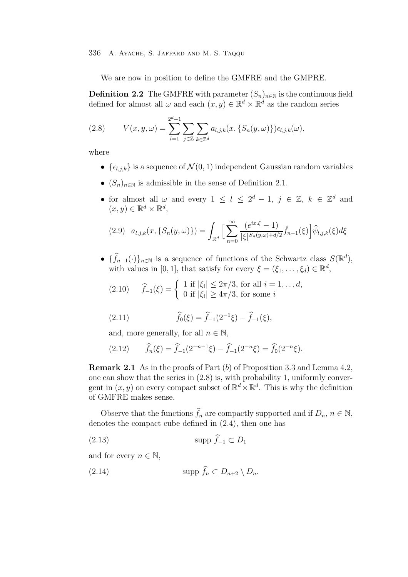We are now in position to define the GMFRE and the GMPRE.

**Definition 2.2** The GMFRE with parameter  $(S_n)_{n\in\mathbb{N}}$  is the continuous field defined for almost all  $\omega$  and each  $(x, y) \in \mathbb{R}^d \times \mathbb{R}^d$  as the random series

(2.8) 
$$
V(x, y, \omega) = \sum_{l=1}^{2^{d}-1} \sum_{j \in \mathbb{Z}} \sum_{k \in \mathbb{Z}^{d}} a_{l,j,k}(x, \{S_{n}(y, \omega)\}) \epsilon_{l,j,k}(\omega),
$$

where

- $\{\epsilon_{l,j,k}\}\$ is a sequence of  $\mathcal{N}(0,1)$  independent Gaussian random variables
- $(S_n)_{n \in \mathbb{N}}$  is admissible in the sense of Definition 2.1.
- for almost all  $\omega$  and every  $1 \leq l \leq 2^d 1$ ,  $j \in \mathbb{Z}$ ,  $k \in \mathbb{Z}^d$  and  $(x, y) \in \mathbb{R}^d \times \mathbb{R}^d$ ,

$$
(2.9) \ \ a_{l,j,k}(x,\{S_n(y,\omega)\}) = \int_{\mathbb{R}^d} \Big[ \sum_{n=0}^{\infty} \frac{(e^{ix\cdot\xi}-1)}{|\xi|^{S_n(y,\omega)+d/2}} \hat{f}_{n-1}(\xi) \Big] \hat{\psi}_{l,j,k}(\xi) d\xi
$$

•  $\{\widehat{f}_{n-1}(\cdot)\}_{n\in\mathbb{N}}$  is a sequence of functions of the Schwartz class  $S(\mathbb{R}^d)$ , with values in [0, 1], that satisfy for every  $\xi = (\xi_1, \ldots, \xi_d) \in \mathbb{R}^d$ ,

(2.10) 
$$
\hat{f}_{-1}(\xi) = \begin{cases} 1 \text{ if } |\xi_i| \leq 2\pi/3, \text{ for all } i = 1, \dots d, \\ 0 \text{ if } |\xi_i| \geq 4\pi/3, \text{ for some } i \end{cases}
$$

(2.11) 
$$
\widehat{f}_0(\xi) = \widehat{f}_{-1}(2^{-1}\xi) - \widehat{f}_{-1}(\xi),
$$

and, more generally, for all  $n \in \mathbb{N}$ ,

$$
(2.12) \qquad \widehat{f}_n(\xi) = \widehat{f}_{-1}(2^{-n-1}\xi) - \widehat{f}_{-1}(2^{-n}\xi) = \widehat{f}_0(2^{-n}\xi).
$$

**Remark 2.1** As in the proofs of Part (b) of Proposition 3.3 and Lemma 4.2, one can show that the series in (2.8) is, with probability 1, uniformly convergent in  $(x, y)$  on every compact subset of  $\mathbb{R}^d \times \mathbb{R}^d$ . This is why the definition of GMFRE makes sense.

Observe that the functions  $f_n$  are compactly supported and if  $D_n$ ,  $n \in \mathbb{N}$ , denotes the compact cube defined in (2.4), then one has

(2.13) supp  $f_{-1} \subset D_1$ 

and for every  $n \in \mathbb{N}$ ,

$$
(2.14) \t\t supp \hat{f}_n \subset D_{n+2} \setminus D_n.
$$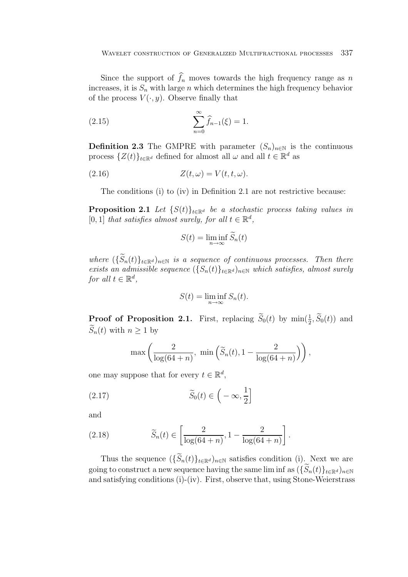Since the support of  $f_n$  moves towards the high frequency range as n increases, it is  $S_n$  with large n which determines the high frequency behavior of the process  $V(\cdot, y)$ . Observe finally that

(2.15) 
$$
\sum_{n=0}^{\infty} \widehat{f}_{n-1}(\xi) = 1.
$$

**Definition 2.3** The GMPRE with parameter  $(S_n)_{n\in\mathbb{N}}$  is the continuous process  $\{Z(t)\}_{t\in\mathbb{R}^d}$  defined for almost all  $\omega$  and all  $t \in \mathbb{R}^d$  as

$$
(2.16) \t\t Z(t,\omega) = V(t,t,\omega).
$$

The conditions (i) to (iv) in Definition 2.1 are not restrictive because:

**Proposition 2.1** Let  $\{S(t)\}_{t\in\mathbb{R}^d}$  be a stochastic process taking values in [0, 1] that satisfies almost surely, for all  $t \in \mathbb{R}^d$ ,

$$
S(t) = \liminf_{n \to \infty} \widetilde{S}_n(t)
$$

where  $(\{\widetilde{S}_n(t)\}_{t\in\mathbb{R}^d})_{n\in\mathbb{N}}$  is a sequence of continuous processes. Then there exists an admissible sequence  $(\{S_n(t)\}_{t\in\mathbb{R}^d})_{n\in\mathbb{N}}$  which satisfies, almost surely for all  $t \in \mathbb{R}^d$ ,

$$
S(t) = \liminf_{n \to \infty} S_n(t).
$$

**Proof of Proposition 2.1.** First, replacing  $S_0(t)$  by  $\min(\frac{1}{2}, S_0(t))$  and  $\tilde{C}_1(t)$  with  $n > 1$  leg  $\widetilde{S}_n(t)$  with  $n \geq 1$  by

$$
\max\left(\frac{2}{\log(64+n)}, \min\left(\widetilde{S}_n(t), 1-\frac{2}{\log(64+n)}\right)\right),\right)
$$

one may suppose that for every  $t \in \mathbb{R}^d$ ,

(2.17) 
$$
\widetilde{S}_0(t) \in \left( -\infty, \frac{1}{2} \right]
$$

and

(2.18) 
$$
\widetilde{S}_n(t) \in \left[\frac{2}{\log(64+n)}, 1 - \frac{2}{\log(64+n)}\right].
$$

Thus the sequence  $(\{\widetilde{S}_n(t)\}_{t\in\mathbb{R}^d})_{n\in\mathbb{N}}$  satisfies condition (i). Next we are going to construct a new sequence having the same lim inf as  $(\{\widetilde{S}_n(t)\}_{t\in\mathbb{R}^d})_{n\in\mathbb{N}}$ and satisfying conditions (i)-(iv). First, observe that, using Stone-Weierstrass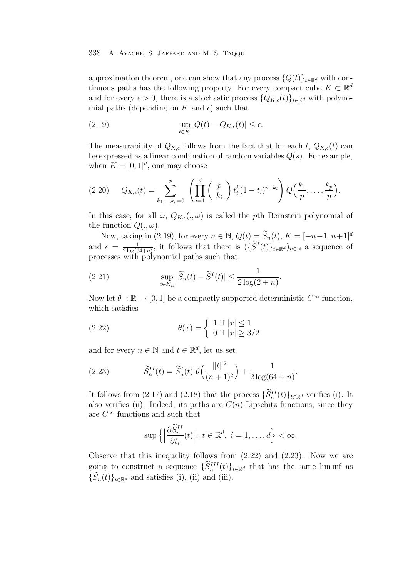approximation theorem, one can show that any process  $\{Q(t)\}_{t\in\mathbb{R}^d}$  with continuous paths has the following property. For every compact cube  $K \subset \mathbb{R}^d$ and for every  $\epsilon > 0$ , there is a stochastic process  $\{Q_{K,\epsilon}(t)\}_{{t\in\mathbb{R}^d}}$  with polynomial paths (depending on K and  $\epsilon$ ) such that

(2.19) 
$$
\sup_{t \in K} |Q(t) - Q_{K,\epsilon}(t)| \le \epsilon.
$$

The measurability of  $Q_{K,\epsilon}$  follows from the fact that for each t,  $Q_{K,\epsilon}(t)$  can be expressed as a linear combination of random variables  $Q(s)$ . For example, when  $K = [0, 1]^d$ , one may choose

$$
(2.20) \tQ_{K,\epsilon}(t) = \sum_{k_1,...,k_d=0}^p \left( \prod_{i=1}^d \binom{p}{k_i} t_i^k (1-t_i)^{p-k_i} \right) Q\left(\frac{k_1}{p}, \ldots, \frac{k_p}{p}\right).
$$

In this case, for all  $\omega$ ,  $Q_{K,\epsilon}(\cdot,\omega)$  is called the pth Bernstein polynomial of the function  $Q(.,\omega)$ .

Now, taking in (2.19), for every  $n \in \mathbb{N}$ ,  $Q(t) = \widetilde{S}_n(t)$ ,  $K = [-n-1, n+1]^d$ and  $\epsilon = \frac{1}{2 \log(64+n)}$ , it follows that there is  $(\{\widetilde{S}^I(t)\}_{t \in \mathbb{R}^d})_{n \in \mathbb{N}}$  a sequence of processes with polynomial paths such that

(2.21) 
$$
\sup_{t \in K_n} |\widetilde{S}_n(t) - \widetilde{S}^I(t)| \leq \frac{1}{2 \log(2+n)}.
$$

Now let  $\theta : \mathbb{R} \to [0, 1]$  be a compactly supported deterministic  $C^{\infty}$  function, which satisfies

(2.22) 
$$
\theta(x) = \begin{cases} 1 \text{ if } |x| \le 1 \\ 0 \text{ if } |x| \ge 3/2 \end{cases}
$$

and for every  $n \in \mathbb{N}$  and  $t \in \mathbb{R}^d$ , let us set

(2.23) 
$$
\widetilde{S}_n^{II}(t) = \widetilde{S}_n^{I}(t) \ \theta\left(\frac{\|t\|^2}{(n+1)^2}\right) + \frac{1}{2\log(64+n)}.
$$

It follows from (2.17) and (2.18) that the process  $\{\widetilde{S}_{n}^{II}(t)\}_{t\in\mathbb{R}^d}$  verifies (i). It also verifies (ii). Indeed, its paths are  $C(n)$ -Lipschitz functions, since they are  $C^{\infty}$  functions and such that

$$
\sup\left\{\left|\frac{\partial \widetilde{S}_{n}^{II}}{\partial t_{i}}(t)\right|; t \in \mathbb{R}^{d}, i = 1, \ldots, d\right\} < \infty.
$$

Observe that this inequality follows from (2.22) and (2.23). Now we are going to construct a sequence  $\{\widetilde{S}_n^{III}(t)\}_{t\in\mathbb{R}^d}$  that has the same liminf as  $\{\widetilde{S}_n(t)\}_{t\in\mathbb{R}^d}$  and satisfies (i), (ii) and (iii).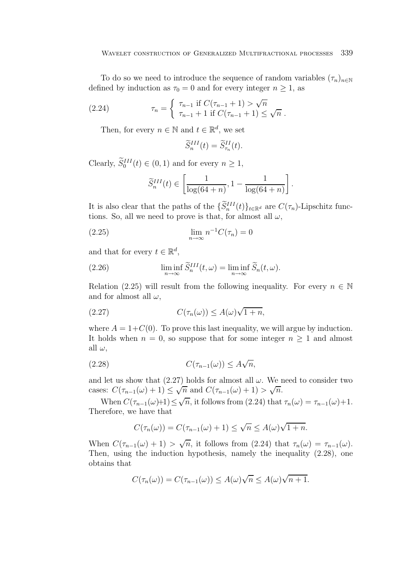To do so we need to introduce the sequence of random variables  $(\tau_n)_{n\in\mathbb{N}}$ defined by induction as  $\tau_0 = 0$  and for every integer  $n \ge 1$ , as

(2.24) 
$$
\tau_n = \begin{cases} \tau_{n-1} & \text{if } C(\tau_{n-1} + 1) > \sqrt{n} \\ \tau_{n-1} + 1 & \text{if } C(\tau_{n-1} + 1) \leq \sqrt{n} \end{cases}.
$$

Then, for every  $n \in \mathbb{N}$  and  $t \in \mathbb{R}^d$ , we set

$$
\widetilde{S}_n^{III}(t) = \widetilde{S}_{\tau_n}^{II}(t).
$$

Clearly,  $\widetilde{S}_0^{III}(t) \in (0,1)$  and for every  $n \geq 1$ ,

$$
\widetilde{S}_n^{III}(t) \in \left[\frac{1}{\log(64+n)}, 1 - \frac{1}{\log(64+n)}\right].
$$

It is also clear that the paths of the  $\{\widetilde{S}_n^{III}(t)\}_{t\in\mathbb{R}^d}$  are  $C(\tau_n)$ -Lipschitz functions. So, all we need to prove is that, for almost all  $\omega$ ,

$$
\lim_{n \to \infty} n^{-1} C(\tau_n) = 0
$$

and that for every  $t \in \mathbb{R}^d$ ,

(2.26) 
$$
\liminf_{n \to \infty} \widetilde{S}_n^{III}(t,\omega) = \liminf_{n \to \infty} \widetilde{S}_n(t,\omega).
$$

Relation (2.25) will result from the following inequality. For every  $n \in \mathbb{N}$ and for almost all  $\omega$ ,

(2.27) 
$$
C(\tau_n(\omega)) \leq A(\omega)\sqrt{1+n},
$$

where  $A = 1+C(0)$ . To prove this last inequality, we will argue by induction. It holds when  $n = 0$ , so suppose that for some integer  $n \geq 1$  and almost all  $\omega$ ,

$$
(2.28) \tC(\tau_{n-1}(\omega)) \le A\sqrt{n},
$$

and let us show that  $(2.27)$  holds for almost all  $\omega$ . We need to consider two cases:  $C(\tau_{n-1}(\omega)+1) \leq \sqrt{n}$  and  $C(\tau_{n-1}(\omega)+1) > \sqrt{n}$ .

When  $C(\tau_{n-1}(\omega)+1) \leq \sqrt{n}$ , it follows from (2.24) that  $\tau_n(\omega) = \tau_{n-1}(\omega)+1$ . Therefore, we have that

$$
C(\tau_n(\omega)) = C(\tau_{n-1}(\omega) + 1) \le \sqrt{n} \le A(\omega)\sqrt{1 + n}.
$$

When  $C(\tau_{n-1}(\omega) + 1) > \sqrt{n}$ , it follows from (2.24) that  $\tau_n(\omega) = \tau_{n-1}(\omega)$ . Then, using the induction hypothesis, namely the inequality (2.28), one obtains that

$$
C(\tau_n(\omega)) = C(\tau_{n-1}(\omega)) \le A(\omega)\sqrt{n} \le A(\omega)\sqrt{n+1}.
$$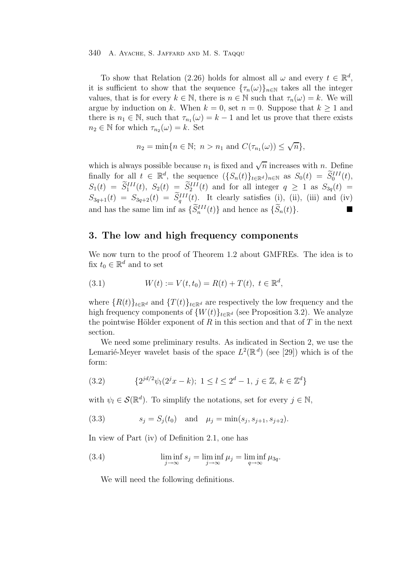To show that Relation (2.26) holds for almost all  $\omega$  and every  $t \in \mathbb{R}^d$ , it is sufficient to show that the sequence  ${\tau_n(\omega)}_{n\in\mathbb{N}}$  takes all the integer values, that is for every  $k \in \mathbb{N}$ , there is  $n \in \mathbb{N}$  such that  $\tau_n(\omega) = k$ . We will argue by induction on k. When  $k = 0$ , set  $n = 0$ . Suppose that  $k \ge 1$  and there is  $n_1 \in \mathbb{N}$ , such that  $\tau_{n_1}(\omega) = k - 1$  and let us prove that there exists  $n_2 \in \mathbb{N}$  for which  $\tau_{n_2}(\omega) = k$ . Set

$$
n_2 = \min\{n \in \mathbb{N};\ n > n_1 \text{ and } C(\tau_{n_1}(\omega)) \le \sqrt{n}\},
$$

which is always possible because  $n_1$  is fixed and  $\sqrt{n}$  increases with n. Define finally for all  $t \in \mathbb{R}^d$ , the sequence  $(\{S_n(t)\}_{t \in \mathbb{R}^d})_{n \in \mathbb{N}}$  as  $S_0(t) = \widetilde{S}_0^{III}(t)$ ,<br> $S_n(t) = \widetilde{S}_0^{III}(t)$ ,  $S_n(t) = \widetilde{S}_0^{III}(t)$ ,  $S_1(t) = \widetilde{S}_1^{III}(t), S_2(t) = \widetilde{S}_2^{III}(t)$  and for all integer  $q \ge 1$  as  $S_{3q}(t) =$  $S_{3q+1}(t) = S_{3q+2}(t) = \tilde{S}_q^{III}(t)$ . It clearly satisfies (i), (ii), (iii) and (iv) and has the same lim inf as  $\{\widetilde{S}_n^{III}(t)\}\$  and hence as  $\{\widetilde{S}_n(t)\}.$ 

# **3. The low and high frequency components**

We now turn to the proof of Theorem 1.2 about GMFREs. The idea is to fix  $t_0 \in \mathbb{R}^d$  and to set

(3.1) 
$$
W(t) := V(t, t_0) = R(t) + T(t), \ t \in \mathbb{R}^d,
$$

where  ${R(t)}_{t\in\mathbb{R}^d}$  and  ${T(t)}_{t\in\mathbb{R}^d}$  are respectively the low frequency and the high frequency components of  $\{W(t)\}_{t\in\mathbb{R}^d}$  (see Proposition 3.2). We analyze the pointwise Hölder exponent of R in this section and that of T in the next section.

We need some preliminary results. As indicated in Section 2, we use the Lemarié-Meyer wavelet basis of the space  $L^2(\mathbb{R}^d)$  (see [29]) which is of the form:

(3.2) 
$$
\{2^{jd/2}\psi_l(2^jx-k); 1 \le l \le 2^d-1, j \in \mathbb{Z}, k \in \mathbb{Z}^d\}
$$

with  $\psi_l \in \mathcal{S}(\mathbb{R}^d)$ . To simplify the notations, set for every  $j \in \mathbb{N}$ ,

(3.3) 
$$
s_j = S_j(t_0)
$$
 and  $\mu_j = \min(s_j, s_{j+1}, s_{j+2}).$ 

In view of Part (iv) of Definition 2.1, one has

(3.4) 
$$
\liminf_{j \to \infty} s_j = \liminf_{j \to \infty} \mu_j = \liminf_{q \to \infty} \mu_{3q}.
$$

We will need the following definitions.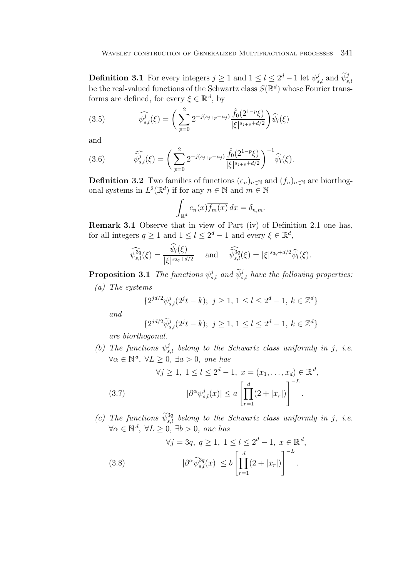**Definition 3.1** For every integers  $j \geq 1$  and  $1 \leq l \leq 2^d - 1$  let  $\psi_{s,l}^j$  and  $\widetilde{\psi}_{s,l}^j$ be the real-valued functions of the Schwartz class  $S(\mathbb{R}^d)$  whose Fourier transforms are defined, for every  $\xi \in \mathbb{R}^d$ , by

(3.5) 
$$
\widehat{\psi_{s,l}^{j}}(\xi) = \left(\sum_{p=0}^{2} 2^{-j(s_{j+p}-\mu_{j})} \frac{\widehat{f}_{0}(2^{1-p}\xi)}{|\xi|^{s_{j+p}+d/2}}\right) \widehat{\psi}_{l}(\xi)
$$

and

(3.6) 
$$
\widehat{\psi}_{s,l}^{j}(\xi) = \left(\sum_{p=0}^{2} 2^{-j(s_{j+p}-\mu_{j})} \frac{\widehat{f}_{0}(2^{1-p}\xi)}{|\xi|^{s_{j+p}+d/2}}\right)^{-1} \widehat{\psi}_{l}(\xi).
$$

**Definition 3.2** Two families of functions  $(e_n)_{n\in\mathbb{N}}$  and  $(f_n)_{n\in\mathbb{N}}$  are biorthogonal systems in  $L^2(\mathbb{R}^d)$  if for any  $n \in \mathbb{N}$  and  $m \in \mathbb{N}$ 

$$
\int_{\mathbb{R}^d} e_n(x) \overline{f_m(x)} dx = \delta_{n,m}.
$$

**Remark 3.1** Observe that in view of Part (iv) of Definition 2.1 one has, for all integers  $q \ge 1$  and  $1 \le l \le 2^d - 1$  and every  $\xi \in \mathbb{R}^d$ ,

$$
\widehat{\psi_{s,l}^{3q}}(\xi) = \frac{\widehat{\psi_l}(\xi)}{|\xi|^{s_{3q} + d/2}} \quad \text{and} \quad \widehat{\widetilde{\psi}_{s,l}^{3q}}(\xi) = |\xi|^{s_{3q} + d/2} \widehat{\psi_l}(\xi).
$$

**Proposition 3.1** The functions  $\psi_{s,l}^j$  and  $\widetilde{\psi}_{s,l}^j$  have the following properties:

(a) The systems

$$
\{2^{jd/2}\psi_{s,l}^j(2^jt - k); \ j \ge 1, \ 1 \le l \le 2^d - 1, \ k \in \mathbb{Z}^d\}
$$

and

$$
\{2^{jd/2}\widetilde{\psi}_{s,l}^j(2^jt - k); \ j \ge 1, \ 1 \le l \le 2^d - 1, \ k \in \mathbb{Z}^d\}
$$

are biorthogonal.

(b) The functions  $\psi_{s,l}^{j}$  belong to the Schwartz class uniformly in j, i.e.  $\forall \alpha \in \mathbb{N}^d, \ \forall L \geq 0, \ \exists a > 0, \ one \ has$ 

(3.7) 
$$
\forall j \ge 1, 1 \le l \le 2^d - 1, x = (x_1, ..., x_d) \in \mathbb{R}^d,
$$

$$
|\partial^{\alpha} \psi_{s,l}^j(x)| \le a \left[ \prod_{r=1}^d (2 + |x_r|) \right]^{-L}.
$$

(c) The functions  $\widetilde{\psi}_{s,l}^{3q}$  belong to the Schwartz class uniformly in j, i.e.  $\forall \alpha \in \mathbb{N}^d, \ \forall L \geq 0, \ \exists b > 0, \ one \ has$ 

(3.8) 
$$
\forall j = 3q, q \ge 1, 1 \le l \le 2^d - 1, x \in \mathbb{R}^d,
$$

$$
|\partial^{\alpha} \widetilde{\psi}_{s,l}^{3q}(x)| \le b \left[ \prod_{r=1}^d (2 + |x_r|) \right]^{-L}.
$$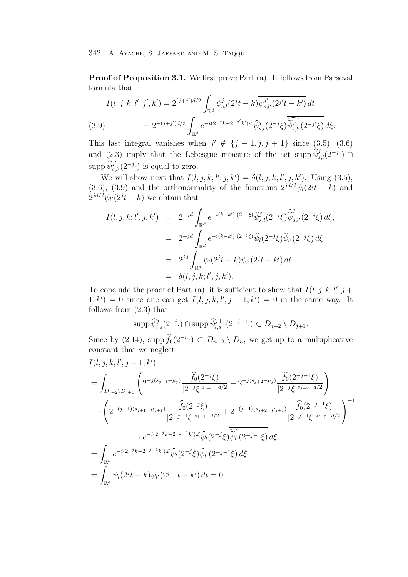**Proof of Proposition 3.1.** We first prove Part (a). It follows from Parseval formula that

(3.9) 
$$
I(l, j, k; l', j', k') = 2^{(j+j')d/2} \int_{\mathbb{R}^d} \psi_{s,l}^j (2^j t - k) \overline{\tilde{\psi}_{s,l'}^j} (2^{j'} t - k') dt
$$

$$
= 2^{-(j+j')d/2} \int_{\mathbb{R}^d} e^{-i(2^{-j}k - 2^{-j'}k') \cdot \xi} \widehat{\psi}_{s,l}^j (2^{-j}\xi) \overline{\tilde{\psi}_{s,l'}^j} (2^{-j'}\xi) d\xi.
$$

This last integral vanishes when  $j' \notin \{j-1, j, j+1\}$  since (3.5), (3.6) and (2.3) imply that the Lebesgue measure of the set supp  $\hat{\psi}_{s,l}^j(2^{-j} \cdot)$ supp  $\widehat{\psi}_{s,l'}^{j'}(2^{-j}\cdot)$  is equal to zero.

We will show next that  $I(l, j, k; l', j, k') = \delta(l, j, k; l', j, k')$ . Using (3.5), (3.6), (3.9) and the orthonormality of the functions  $2^{jd/2}\psi_l(2^{jt}-k)$  and  $2^{jd/2}\psi_{l'}(2^{j}t-k)$  we obtain that

$$
I(l, j, k; l', j, k') = 2^{-jd} \int_{\mathbb{R}^d} e^{-i(k-k') \cdot (2^{-j}\xi)} \widehat{\psi}_{s,l}^j(2^{-j}\xi) \overline{\widehat{\psi}_{s,l'}^j(2^{-j}\xi)} d\xi,
$$
  
\n
$$
= 2^{-jd} \int_{\mathbb{R}^d} e^{-i(k-k') \cdot (2^{-j}\xi)} \widehat{\psi}_l(2^{-j}\xi) \overline{\widehat{\psi}_{l'}(2^{-j}\xi)} d\xi
$$
  
\n
$$
= 2^{jd} \int_{\mathbb{R}^d} \psi_l(2^{jt} - k) \overline{\psi_{l'}(2^{jt} - k')} dt
$$
  
\n
$$
= \delta(l, j, k; l', j, k').
$$

To conclude the proof of Part (a), it is sufficient to show that  $I(l, j, k; l', j + l'$  $(1, k') = 0$  since one can get  $I(l, j, k; l', j - 1, k') = 0$  in the same way. It follows from (2.3) that

$$
\mathrm{supp}\,\widehat{\psi}^j_{l,s}(2^{-j}\cdot)\cap \mathrm{supp}\,\widehat{\psi}^{j+1}_{l,s}(2^{-j-1}\cdot)\subset D_{j+2}\setminus D_{j+1}.
$$

Since by (2.14), supp  $\widehat{f}_0(2^{-n}) \subset D_{n+2} \setminus D_n$ , we get up to a multiplicative constant that we neglect,

$$
I(l, j, k; l', j+1, k')
$$
\n
$$
= \int_{D_{j+2}\setminus D_{j+1}} \left( 2^{-j(s_{j+1}-\mu_j)} \frac{\widehat{f}_0(2^{-j}\xi)}{|2^{-j}\xi|^{s_{j+1}+d/2}} + 2^{-j(s_{j+2}-\mu_j)} \frac{\widehat{f}_0(2^{-j-1}\xi)}{|2^{-j}\xi|^{s_{j+2}+d/2}} \right)
$$
\n
$$
\cdot \left( 2^{-(j+1)(s_{j+1}-\mu_{j+1})} \frac{\widehat{f}_0(2^{-j}\xi)}{|2^{-j-1}\xi|^{s_{j+1}+d/2}} + 2^{-(j+1)(s_{j+2}-\mu_{j+1})} \frac{\widehat{f}_0(2^{-j-1}\xi)}{|2^{-j-1}\xi|^{s_{j+2}+d/2}} \right)^{-1}
$$
\n
$$
\cdot e^{-i(2^{-j}k-2^{-j-1}k')\cdot\xi} \widehat{\psi}_l(2^{-j}\xi) \overline{\widehat{\psi}_{l'}(2^{-j-1}\xi)} d\xi
$$
\n
$$
= \int_{\mathbb{R}^d} e^{-i(2^{-j}k-2^{-j-1}k')\cdot\xi} \widehat{\psi}_l(2^{-j}\xi) \overline{\widehat{\psi}_{l'}(2^{-j-1}\xi)} d\xi
$$
\n
$$
= \int_{\mathbb{R}^d} \psi_l(2^{j}t-k) \overline{\psi_{l'}(2^{j+1}t-k')} dt = 0.
$$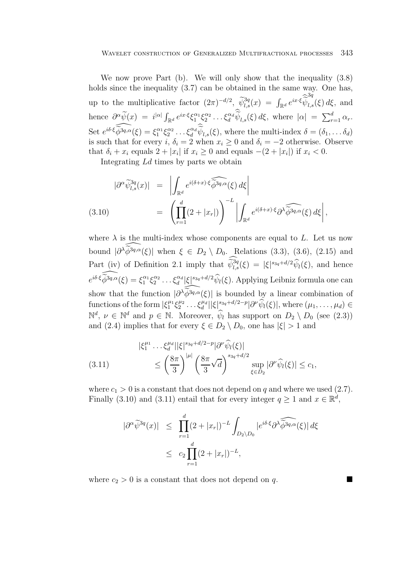We now prove Part (b). We will only show that the inequality  $(3.8)$ holds since the inequality (3.7) can be obtained in the same way. One has, up to the multiplicative factor  $(2\pi)^{-d/2}$ ,  $\widetilde{\psi}_{l,s}^{3q}(x) = \int_{\mathbb{R}^d} e^{ix\cdot\xi} \widetilde{\widetilde{\psi}}_l^{\tilde{\psi}}$ 3q l,s(ξ) dξ, and hence  $\frac{\partial^{\alpha} \widetilde{\psi}(x)}{\partial \widetilde{\psi}} = i^{|\alpha|} \int_{\mathbb{R}^d} e^{ix\cdot\xi} \zeta_1^{\alpha_1} \zeta_2^{\alpha_2} \dots \zeta_d^{\alpha_d} \widetilde{\psi}_{l,s}(\xi) d\xi$ , where  $|\alpha| = \sum_{r=1}^d \alpha_r$ . Set  $e^{i\delta \cdot \widehat{\xi}\widehat{\phi}^{3q,\alpha}}(\xi) = \xi_1^{\alpha_1} \xi_2^{\alpha_2} \dots \xi_d^{\alpha_d} \widehat{\psi}_{l,s}(\xi)$ , where the multi-index  $\delta = (\delta_1, \dots \delta_d)$ is such that for every i,  $\delta_i = 2$  when  $x_i \geq 0$  and  $\delta_i = -2$  otherwise. Observe that  $\delta_i + x_i$  equals  $2 + |x_i|$  if  $x_i \geq 0$  and equals  $-(2 + |x_i|)$  if  $x_i < 0$ .

Integrating Ld times by parts we obtain

$$
|\partial^{\alpha}\widetilde{\psi}_{l,s}^{3q}(x)| = \left| \int_{\mathbb{R}^d} e^{i(\delta+x)\cdot\xi} \widehat{\widetilde{\phi}^{3q,\alpha}}(\xi) d\xi \right|
$$
  
(3.10)
$$
= \left( \prod_{r=1}^d (2+|x_r|) \right)^{-L} \left| \int_{\mathbb{R}^d} e^{i(\delta+x)\cdot\xi} \widehat{\partial^{\lambda}\widetilde{\phi}^{3q,\alpha}}(\xi) d\xi \right|,
$$

where  $\lambda$  is the multi-index whose components are equal to L. Let us now bound  $|\partial^{\lambda} \widetilde{\phi}^{3q,\alpha}(\xi)|$  when  $\xi \in D_2 \setminus D_0$ . Relations (3.3), (3.6), (2.15) and Part (iv) of Definition 2.1 imply that  $\widetilde{\psi}_{l,s}^{3q}(\xi) = |\xi|^{s_{3q}+d/2} \widehat{\psi}_{l}(\xi)$ , and hence  $e^{i\delta \cdot \widehat{\xi}\,\widehat{\phi}^{3q,\alpha}}(\xi) = \xi_1^{\alpha_1}\xi_2^{\alpha_2}\dots \xi_d^{\alpha_d} |\xi|^{s_{3q}+d/2} \widehat{\psi}_l(\xi)$ . Applying Leibniz formula one can show that the function  $|\partial^{\lambda} \widehat{\phi}^{3q,\alpha}(\xi)|$  is bounded by a linear combination of functions of the form  $|\xi_1^{\mu_1}\xi_2^{\mu_2}\dots\xi_d^{\mu_d}||\xi|^{s_{3q}+d/2-p}|\partial^{\nu}\hat{\psi}_l(\xi)|$ , where  $(\mu_1,\dots,\mu_d) \in$  $\mathbb{N}^d$ ,  $\nu \in \mathbb{N}^d$  and  $p \in \mathbb{N}$ . Moreover,  $\widehat{\psi}_l$  has support on  $D_2 \setminus D_0$  (see (2.3)) and (2.4) implies that for every  $\xi \in D_2 \setminus D_0$ , one has  $|\xi| > 1$  and

(3.11) 
$$
\begin{aligned} |\xi_1^{\mu_1} \dots \xi_d^{\mu_d} | |\xi|^{s_{3q} + d/2 - p} |\partial^{\nu} \widehat{\psi}_l(\xi)| \\ &\leq \left(\frac{8\pi}{3}\right)^{|\mu|} \left(\frac{8\pi}{3}\sqrt{d}\right)^{s_{3q} + d/2} \sup_{\xi \in D_2} |\partial^{\nu} \widehat{\psi}_l(\xi)| \leq c_1, \end{aligned}
$$

where  $c_1 > 0$  is a constant that does not depend on q and where we used (2.7). Finally (3.10) and (3.11) entail that for every integer  $q \ge 1$  and  $x \in \mathbb{R}^d$ ,

$$
|\partial^{\alpha}\widetilde{\psi}^{3q}(x)| \leq \prod_{r=1}^{d} (2+|x_r|)^{-L} \int_{D_2 \setminus D_0} |e^{i\delta \cdot \xi} \partial^{\lambda} \widehat{\widetilde{\phi}^{3q,\alpha}}(\xi)| d\xi
$$
  
 
$$
\leq c_2 \prod_{r=1}^{d} (2+|x_r|)^{-L},
$$

where  $c_2 > 0$  is a constant that does not depend on q.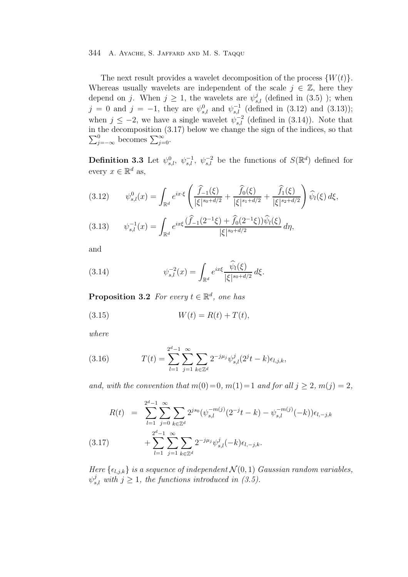The next result provides a wavelet decomposition of the process  $\{W(t)\}.$ Whereas usually wavelets are independent of the scale  $j \in \mathbb{Z}$ , here they depend on j. When  $j \geq 1$ , the wavelets are  $\psi_{s,l}^j$  (defined in (3.5)); when  $j = 0$  and  $j = -1$ , they are  $\psi_{s,l}^{0}$  and  $\psi_{s,l}^{-1}$  (defined in (3.12) and (3.13)); when  $j \leq -2$ , we have a single wavelet  $\psi_{s,l}^{-2}$  (defined in (3.14)). Note that in the decomposition (3.17) below we change the sign of the indices, so that  $\sum_{j=-\infty}^{0}$  becomes  $\sum_{j=0}^{\infty}$ .

**Definition 3.3** Let  $\psi_{s,l}^0$ ,  $\psi_{s,l}^{-1}$ ,  $\psi_{s,l}^{-2}$  be the functions of  $S(\mathbb{R}^d)$  defined for every  $x \in \mathbb{R}^d$  as,

$$
(3.12) \t\psi_{s,l}^0(x) = \int_{\mathbb{R}^d} e^{ix\cdot\xi} \left( \frac{\widehat{f}_{-1}(\xi)}{|\xi|^{s_0+d/2}} + \frac{\widehat{f}_0(\xi)}{|\xi|^{s_1+d/2}} + \frac{\widehat{f}_1(\xi)}{|\xi|^{s_2+d/2}} \right) \widehat{\psi}_l(\xi) d\xi,
$$

$$
(3.13) \qquad \psi_{s,l}^{-1}(x) = \int_{\mathbb{R}^d} e^{ix\xi} \frac{(\widehat{f}_{-1}(2^{-1}\xi) + \widehat{f}_0(2^{-1}\xi))\widehat{\psi}_l(\xi)}{|\xi|^{s_0 + d/2}} d\eta,
$$

and

(3.14) 
$$
\psi_{s,l}^{-2}(x) = \int_{\mathbb{R}^d} e^{ix\xi} \frac{\widehat{\psi}_l(\xi)}{|\xi|^{s_0 + d/2}} d\xi.
$$

**Proposition 3.2** For every  $t \in \mathbb{R}^d$ , one has

(3.15) 
$$
W(t) = R(t) + T(t),
$$

where

(3.16) 
$$
T(t) = \sum_{l=1}^{2^d-1} \sum_{j=1}^{\infty} \sum_{k \in \mathbb{Z}^d} 2^{-j\mu_j} \psi_{s,l}^j (2^j t - k) \epsilon_{l,j,k},
$$

and, with the convention that  $m(0)=0$ ,  $m(1)=1$  and for all  $j \geq 2$ ,  $m(j)=2$ ,

$$
R(t) = \sum_{l=1}^{2^{d}-1} \sum_{j=0}^{\infty} \sum_{k \in \mathbb{Z}^{d}} 2^{js_{0}} (\psi_{s,l}^{-m(j)}(2^{-j}t-k) - \psi_{s,l}^{-m(j)}(-k)) \epsilon_{l,-j,k}
$$
  
(3.17) 
$$
+ \sum_{l=1}^{2^{d}-1} \sum_{j=1}^{\infty} \sum_{k \in \mathbb{Z}^{d}} 2^{-j\mu_{j}} \psi_{s,l}^{j}(-k) \epsilon_{l,-j,k}.
$$

Here  $\{\epsilon_{l,j,k}\}\$ is a sequence of independent  $\mathcal{N}(0,1)$  Gaussian random variables,  $\psi_{s,l}^j$  with  $j \geq 1$ , the functions introduced in (3.5).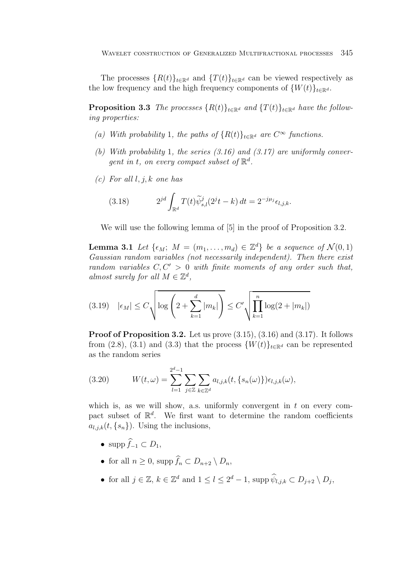The processes  ${R(t)}_{t\in\mathbb{R}^d}$  and  ${T(t)}_{t\in\mathbb{R}^d}$  can be viewed respectively as the low frequency and the high frequency components of  $\{W(t)\}_{t\in\mathbb{R}^d}$ .

**Proposition 3.3** The processes  $\{R(t)\}_t \in \mathbb{R}^d$  and  $\{T(t)\}_t \in \mathbb{R}^d$  have the following properties:

- (a) With probability 1, the paths of  ${R(t)}_{t\in\mathbb{R}^d}$  are  $C^{\infty}$  functions.
- (b) With probability 1, the series  $(3.16)$  and  $(3.17)$  are uniformly convergent in t, on every compact subset of  $\mathbb{R}^d$ .
- $(c)$  For all l, j, k one has

(3.18) 
$$
2^{jd} \int_{\mathbb{R}^d} T(t) \widetilde{\psi}_{s,l}^j(2^j t - k) dt = 2^{-j\mu_j} \epsilon_{l,j,k}.
$$

We will use the following lemma of [5] in the proof of Proposition 3.2.

**Lemma 3.1** Let  $\{\epsilon_M; M = (m_1, \ldots, m_d) \in \mathbb{Z}^d\}$  be a sequence of  $\mathcal{N}(0, 1)$ Gaussian random variables (not necessarily independent). Then there exist random variables  $C, C' > 0$  with finite moments of any order such that, almost surely for all  $M \in \mathbb{Z}^d$ ,

$$
(3.19) \quad |\epsilon_M| \le C \sqrt{\log\left(2 + \sum_{k=1}^d |m_k|\right)} \le C' \sqrt{\prod_{k=1}^n \log(2 + |m_k|)}
$$

**Proof of Proposition 3.2.** Let us prove  $(3.15)$ ,  $(3.16)$  and  $(3.17)$ . It follows from (2.8), (3.1) and (3.3) that the process  $\{W(t)\}_{t\in\mathbb{R}^d}$  can be represented as the random series

(3.20) 
$$
W(t,\omega) = \sum_{l=1}^{2^d-1} \sum_{j \in \mathbb{Z}} \sum_{k \in \mathbb{Z}^d} a_{l,j,k}(t, \{s_n(\omega)\}) \epsilon_{l,j,k}(\omega),
$$

which is, as we will show, a.s. uniformly convergent in  $t$  on every compact subset of  $\mathbb{R}^d$ . We first want to determine the random coefficients  $a_{l,j,k}(t, \{s_n\})$ . Using the inclusions,

- supp  $f_{-1} \subset D_1$ ,
- for all  $n \geq 0$ , supp  $f_n \subset D_{n+2} \setminus D_n$ ,
- for all  $j \in \mathbb{Z}$ ,  $k \in \mathbb{Z}^d$  and  $1 \leq l \leq 2^d 1$ , supp  $\widehat{\psi}_{l,j,k} \subset D_{j+2} \setminus D_j$ ,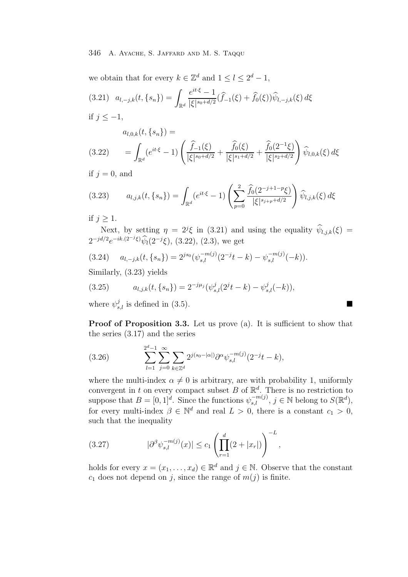we obtain that for every  $k \in \mathbb{Z}^d$  and  $1 \leq l \leq 2^d - 1$ ,

$$
(3.21) \quad a_{l,-j,k}(t,\{s_n\}) = \int_{\mathbb{R}^d} \frac{e^{it\cdot\xi} - 1}{|\xi|^{s_0 + d/2}} (\widehat{f}_{-1}(\xi) + \widehat{f}_0(\xi)) \widehat{\psi}_{l,-j,k}(\xi) d\xi
$$

if  $j$  ≤ −1,

$$
a_{l,0,k}(t,\{s_n\})=
$$

$$
(3.22) \qquad = \int_{\mathbb{R}^d} (e^{it\cdot\xi} - 1) \left( \frac{\widehat{f}_{-1}(\xi)}{|\xi|^{s_0 + d/2}} + \frac{\widehat{f}_0(\xi)}{|\xi|^{s_1 + d/2}} + \frac{\widehat{f}_0(2^{-1}\xi)}{|\xi|^{s_2 + d/2}} \right) \widehat{\psi}_{l,0,k}(\xi) d\xi
$$

if  $j = 0$ , and

$$
(3.23) \t a_{l,j,k}(t,\{s_n\}) = \int_{\mathbb{R}^d} (e^{it\cdot\xi} - 1) \left( \sum_{p=0}^2 \frac{\widehat{f}_0(2^{-j+1-p}\xi)}{|\xi|^{s_{j+p}+d/2}} \right) \widehat{\psi}_{l,j,k}(\xi) d\xi
$$

if  $j \geq 1$ .

Next, by setting  $\eta = 2^j \xi$  in (3.21) and using the equality  $\hat{\psi}_{l,j,k}(\xi) =$  $2^{-jd/2}e^{-ik.(2^{-j}\xi)}\hat{\psi}_l(2^{-j}\xi),$  (3.22), (2.3), we get

$$
(3.24) \t a_{l,-j,k}(t,\{s_n\}) = 2^{js_0}(\psi_{s,l}^{-m(j)}(2^{-j}t-k) - \psi_{s,l}^{-m(j)}(-k)).
$$

Similarly, (3.23) yields

(3.25) 
$$
a_{l,j,k}(t,\{s_n\}) = 2^{-j\mu_j}(\psi_{s,l}^j(2^jt-k) - \psi_{s,l}^j(-k)),
$$

where  $\psi_{s,l}^{j}$  is defined in (3.5).

**Proof of Proposition 3.3.** Let us prove (a). It is sufficient to show that the series (3.17) and the series

(3.26) 
$$
\sum_{l=1}^{2^d-1} \sum_{j=0}^{\infty} \sum_{k \in \mathbb{Z}^d} 2^{j(s_0 - |\alpha|)} \partial^{\alpha} \psi_{s,l}^{-m(j)} (2^{-j}t - k),
$$

where the multi-index  $\alpha \neq 0$  is arbitrary, are with probability 1, uniformly convergent in t on every compact subset B of  $\mathbb{R}^d$ . There is no restriction to suppose that  $B = [0, 1]^d$ . Since the functions  $\psi_{s,l}^{-m(j)}$ ,  $j \in \mathbb{N}$  belong to  $S(\mathbb{R}^d)$ , for every multi-index  $\beta \in \mathbb{N}^d$  and real  $L > 0$ , there is a constant  $c_1 > 0$ , such that the inequality

(3.27) 
$$
|\partial^{\beta} \psi_{s,l}^{-m(j)}(x)| \leq c_1 \left( \prod_{r=1}^d (2+|x_r|) \right)^{-L},
$$

holds for every  $x = (x_1, \ldots, x_d) \in \mathbb{R}^d$  and  $j \in \mathbb{N}$ . Observe that the constant  $c_1$  does not depend on j, since the range of  $m(j)$  is finite.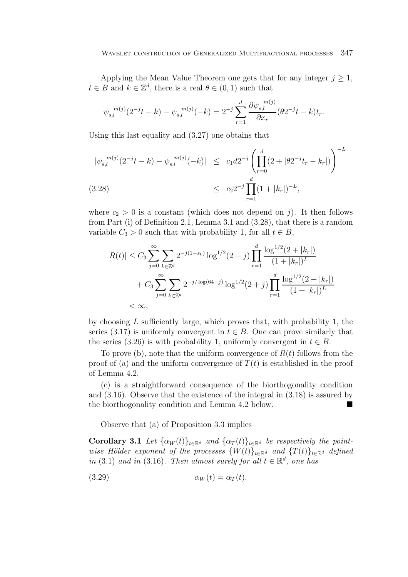Applying the Mean Value Theorem one gets that for any integer  $j \geq 1$ ,  $t \in B$  and  $k \in \mathbb{Z}^d$ , there is a real  $\theta \in (0,1)$  such that

$$
\psi_{s,l}^{-m(j)}(2^{-j}t-k) - \psi_{s,l}^{-m(j)}(-k) = 2^{-j} \sum_{r=1}^{d} \frac{\partial \psi_{s,l}^{-m(j)}}{\partial x_r} (\theta 2^{-j}t-k) t_r.
$$

Using this last equality and (3.27) one obtains that

$$
|\psi_{s,l}^{-m(j)}(2^{-j}t-k) - \psi_{s,l}^{-m(j)}(-k)| \le c_1 d2^{-j} \left( \prod_{r=0}^d (2+|\theta 2^{-j}t_r - k_r|) \right)^{-L}
$$
  
(3.28)  

$$
\le c_2 2^{-j} \prod_{r=1}^d (1+|k_r|)^{-L},
$$

where  $c_2 > 0$  is a constant (which does not depend on j). It then follows from Part (i) of Definition 2.1, Lemma 3.1 and (3.28), that there is a random variable  $C_3 > 0$  such that with probability 1, for all  $t \in B$ ,

$$
|R(t)| \leq C_3 \sum_{j=0}^{\infty} \sum_{k \in \mathbb{Z}^d} 2^{-j(1-s_0)} \log^{1/2}(2+j) \prod_{r=1}^d \frac{\log^{1/2}(2+|k_r|)}{(1+|k_r|)^L}
$$
  
+  $C_3 \sum_{j=0}^{\infty} \sum_{k \in \mathbb{Z}^d} 2^{-j/\log(64+j)} \log^{1/2}(2+j) \prod_{r=1}^d \frac{\log^{1/2}(2+|k_r|)}{(1+|k_r|)^L}$   
<  $\infty$ ,

by choosing  $L$  sufficiently large, which proves that, with probability 1, the series (3.17) is uniformly convergent in  $t \in B$ . One can prove similarly that the series (3.26) is with probability 1, uniformly convergent in  $t \in B$ .

To prove (b), note that the uniform convergence of  $R(t)$  follows from the proof of (a) and the uniform convergence of  $T(t)$  is established in the proof of Lemma 4.2.

(c) is a straightforward consequence of the biorthogonality condition and (3.16). Observe that the existence of the integral in (3.18) is assured by the biorthogonality condition and Lemma 4.2 below.

Observe that (a) of Proposition 3.3 implies

**Corollary 3.1** Let  $\{\alpha_W(t)\}_{t\in\mathbb{R}^d}$  and  $\{\alpha_T(t)\}_{t\in\mathbb{R}^d}$  be respectively the pointwise Hölder exponent of the processes  $\{W(t)\}_{t\in\mathbb{R}^d}$  and  $\{T(t)\}_{t\in\mathbb{R}^d}$  defined in (3.1) and in (3.16). Then almost surely for all  $t \in \mathbb{R}^d$ , one has

$$
(3.29) \t\t \t\t \alpha_W(t) = \alpha_T(t).
$$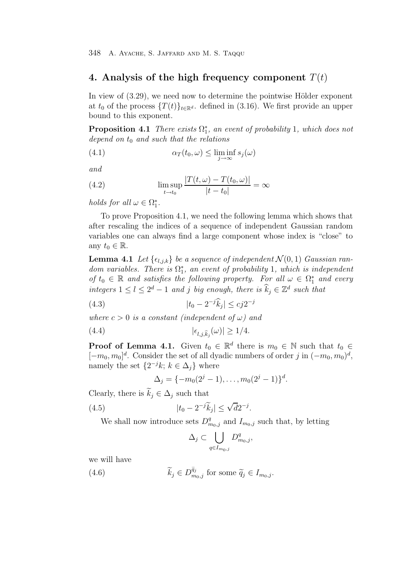# **4. Analysis of the high frequency component** T(t)

In view of  $(3.29)$ , we need now to determine the pointwise Hölder exponent at  $t_0$  of the process  $\{T(t)\}_{t\in\mathbb{R}^d}$  defined in (3.16). We first provide an upper bound to this exponent.

**Proposition 4.1** There exists  $\Omega_{1}^{*}$ , an event of probability 1, which does not depend on t, and each that the relations depend on  $t_0$  and such that the relations

(4.1) 
$$
\alpha_T(t_0,\omega) \leq \liminf_{j \to \infty} s_j(\omega)
$$

and

(4.2) 
$$
\lim_{t \to t_0} \frac{|T(t, \omega) - T(t_0, \omega)|}{|t - t_0|} = \infty
$$

holds for all  $\omega \in \Omega_1^*$ .

To prove Proposition 4.1, we need the following lemma which shows that after rescaling the indices of a sequence of independent Gaussian random variables one can always find a large component whose index is "close" to any  $t_0 \in \mathbb{R}$ .

**Lemma 4.1** Let  $\{\epsilon_{l,j,k}\}\$  be a sequence of independent  $\mathcal{N}(0,1)$  Gaussian random variables. There is  $\Omega_{1}^{*}$ , an event of probability 1, which is independent<br>of  $t \in \mathbb{R}$  and estistics the following property. For all  $\Omega \subseteq \Omega^{*}$  and event of  $t_0 \in \mathbb{R}$  and satisfies the following property. For all  $\omega \in \Omega^*$  and every integers  $1 \leq l \leq 2^d - 1$  and j big enough, there is  $\widehat{k}_i \in \mathbb{Z}^d$  such that

(4.3) 
$$
|t_0 - 2^{-j}\widehat{k}_j| \leq c j 2^{-j}
$$

where  $c > 0$  is a constant (independent of  $\omega$ ) and

$$
(4.4) \qquad |\epsilon_{l,j,\hat{k}_j}(\omega)| \ge 1/4.
$$

**Proof of Lemma 4.1.** Given  $t_0 \in \mathbb{R}^d$  there is  $m_0 \in \mathbb{N}$  such that  $t_0 \in \mathbb{N}$  $[-m_0, m_0]^d$ . Consider the set of all dyadic numbers of order j in  $(-m_0, m_0)^d$ , namely the set  $\{2^{-j}k; k \in \Delta_j\}$  where

$$
\Delta_j = \{-m_0(2^j-1), \ldots, m_0(2^j-1)\}^d.
$$

Clearly, there is  $\widetilde{k}_i \in \Delta_i$  such that

(4.5) 
$$
|t_0 - 2^{-j}\widetilde{k}_j| \leq \sqrt{d}2^{-j}.
$$

We shall now introduce sets  $D_{m_0,j}^q$  and  $I_{m_0,j}$  such that, by letting

$$
\Delta_j\subset \bigcup_{q\in I_{m_0,j}}D^q_{m_0,j},
$$

we will have

(4.6) 
$$
\widetilde{k}_j \in D_{m_0,j}^{\widetilde{q}_j} \text{ for some } \widetilde{q}_j \in I_{m_0,j}.
$$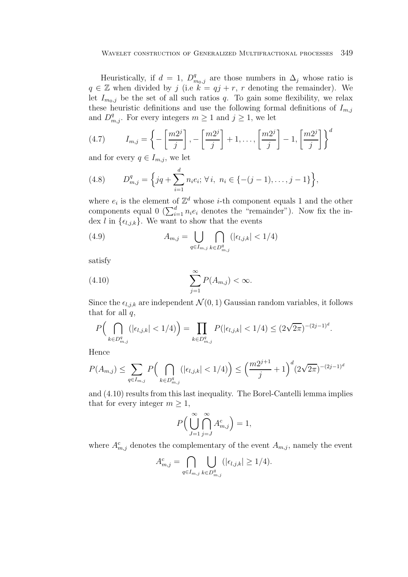Heuristically, if  $d = 1$ ,  $D_{m_0,j}^q$  are those numbers in  $\Delta_j$  whose ratio is  $q \in \mathbb{Z}$  when divided by j (i.e  $k = qj + r$ , r denoting the remainder). We let  $I_{m_0,j}$  be the set of all such ratios q. To gain some flexibility, we relax these heuristic definitions and use the following formal definitions of  $I_{m,j}$ and  $D_{m,j}^q$ . For every integers  $m \geq 1$  and  $j \geq 1$ , we let

(4.7) 
$$
I_{m,j} = \left\{-\left[\frac{m2^j}{j}\right], -\left[\frac{m2^j}{j}\right] + 1, \dots, \left[\frac{m2^j}{j}\right] - 1, \left[\frac{m2^j}{j}\right]\right\}^d
$$

and for every  $q \in I_{m,j}$ , we let

(4.8) 
$$
D_{m,j}^q = \left\{ jq + \sum_{i=1}^d n_i e_i; \forall i, n_i \in \{-(j-1), \dots, j-1\} \right\},\
$$

where  $e_i$  is the element of  $\mathbb{Z}^d$  whose *i*-th component equals 1 and the other components equal  $0 \left( \sum_{i=1}^d n_i e_i \right)$  denotes the "remainder"). Now fix the index l in  $\{\epsilon_{l,j,k}\}$ . We want to show that the events

(4.9) 
$$
A_{m,j} = \bigcup_{q \in I_{m,j}} \bigcap_{k \in D_{m,j}^q} (|\epsilon_{l,j,k}| < 1/4)
$$

satisfy

$$
\sum_{j=1}^{\infty} P(A_{m,j}) < \infty.
$$

Since the  $\epsilon_{l,j,k}$  are independent  $\mathcal{N}(0, 1)$  Gaussian random variables, it follows that for all  $q$ ,

$$
P\Big(\bigcap_{k\in D_{m,j}^q} \big(|\epsilon_{l,j,k}| < 1/4\big)\Big) = \prod_{k\in D_{m,j}^q} P(|\epsilon_{l,j,k}| < 1/4) \leq (2\sqrt{2\pi})^{-(2j-1)^d}.
$$

Hence

$$
P(A_{m,j}) \le \sum_{q \in I_{m,j}} P\Big(\bigcap_{k \in D_{m,j}^q} (|\epsilon_{l,j,k}| < 1/4)\Big) \le \left(\frac{m2^{j+1}}{j} + 1\right)^d (2\sqrt{2\pi})^{-(2j-1)^d}
$$

and (4.10) results from this last inequality. The Borel-Cantelli lemma implies that for every integer  $m \geq 1$ ,

$$
P\Big(\bigcup_{J=1}^{\infty}\bigcap_{j=J}^{\infty}A_{m,j}^{c}\Big)=1,
$$

where  $A_{m,j}^c$  denotes the complementary of the event  $A_{m,j}$ , namely the event

$$
A_{m,j}^c = \bigcap_{q \in I_{m,j}} \bigcup_{k \in D_{m,j}^q} (|\epsilon_{l,j,k}| \ge 1/4).
$$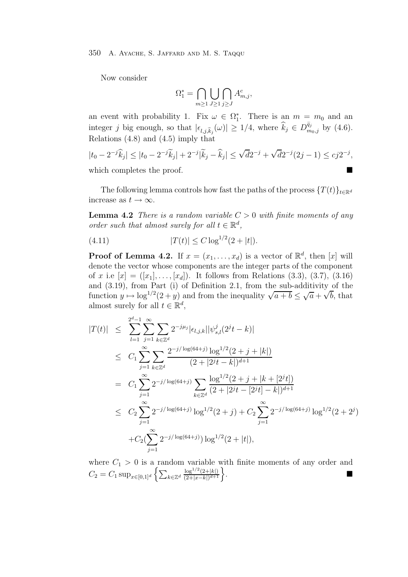Now consider

$$
\Omega_1^* = \bigcap_{m \ge 1} \bigcup_{J \ge 1} \bigcap_{j \ge J} A_{m,j}^c,
$$

an event with probability 1. Fix  $\omega \in \Omega_1^*$ . There is an  $m = m_0$  and an integer j big enough, so that  $|\epsilon_{l,j,k_j}(\omega)| \ge 1/4$ , where  $\hat{k}_j \in D_{m_0,j}^{\tilde{q}_j}$  by (4.6). Relations  $(4.8)$  and  $(4.5)$  imply that

$$
|t_0 - 2^{-j}\widehat{k}_j| \le |t_0 - 2^{-j}\widetilde{k}_j| + 2^{-j}|\widetilde{k}_j - \widehat{k}_j| \le \sqrt{d}2^{-j} + \sqrt{d}2^{-j}(2j - 1) \le cj2^{-j},
$$

which completes the proof.

The following lemma controls how fast the paths of the process  $\{T(t)\}_{t\in\mathbb{R}^d}$ increase as  $t \to \infty$ .

**Lemma 4.2** There is a random variable  $C > 0$  with finite moments of any order such that almost surely for all  $t \in \mathbb{R}^d$ ,

(4.11) 
$$
|T(t)| \leq C \log^{1/2}(2+|t|).
$$

**Proof of Lemma 4.2.** If  $x = (x_1, \ldots, x_d)$  is a vector of  $\mathbb{R}^d$ , then [x] will denote the vector whose components are the integer parts of the component of x i.e  $[x] = ([x_1], \ldots, [x_d])$ . It follows from Relations (3.3), (3.7), (3.16) and (3.19), from Part (i) of Definition 2.1, from the sub-additivity of the and (3.19), from Part (1) or Definition 2.1, from the sub-additivity of the<br>function  $y \mapsto \log^{1/2}(2+y)$  and from the inequality  $\sqrt{a+b} \leq \sqrt{a} + \sqrt{b}$ , that almost surely for all  $t \in \mathbb{R}^d$ ,

$$
|T(t)| \leq \sum_{l=1}^{2^{d}-1} \sum_{j=1}^{\infty} \sum_{k \in \mathbb{Z}^{d}} 2^{-j\mu_{j}} |\epsilon_{l,j,k}| |\psi_{s,l}^{j}(2^{j}t - k)|
$$
  
\n
$$
\leq C_{1} \sum_{j=1}^{\infty} \sum_{k \in \mathbb{Z}^{d}} \frac{2^{-j/\log(64+j)} \log^{1/2}(2+j+|k|)}{(2+|2^{j}t-k|)^{d+1}}
$$
  
\n
$$
= C_{1} \sum_{j=1}^{\infty} 2^{-j/\log(64+j)} \sum_{k \in \mathbb{Z}^{d}} \frac{\log^{1/2}(2+j+|k+|2^{j}t|)}{(2+|2^{j}t-|2^{j}t|-k|)^{d+1}}
$$
  
\n
$$
\leq C_{2} \sum_{j=1}^{\infty} 2^{-j/\log(64+j)} \log^{1/2}(2+j) + C_{2} \sum_{j=1}^{\infty} 2^{-j/\log(64+j)} \log^{1/2}(2+2^{j})
$$
  
\n
$$
+ C_{2} (\sum_{j=1}^{\infty} 2^{-j/\log(64+j)}) \log^{1/2}(2+|t|),
$$

where  $C_1 > 0$  is a random variable with finite moments of any order and  $C_2 = C_1 \sin \left( \sum_{k=1}^{\infty} \frac{\log^{1/2}(2+|k|)}{k} \right)$  $C_2 = C_1 \sup_{x \in [0,1]^d} \left\{ \sum_{k \in \mathbb{Z}^d} \frac{\log^{1/2}(2+|k|)}{(2+|x-k|)^{d+1}} \right\}$ .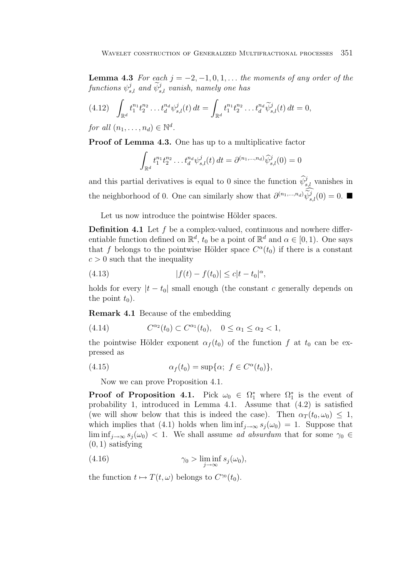**Lemma 4.3** For each  $j = -2, -1, 0, 1, \ldots$  the moments of any order of the  $\emph{functions $\psi_{s,l}^j$ and $\widetilde{\psi}_{s,l}^j$ vanish, namely one has}$ 

$$
(4.12) \quad \int_{\mathbb{R}^d} t_1^{n_1} t_2^{n_2} \dots t_d^{n_d} \psi_{s,l}^j(t) dt = \int_{\mathbb{R}^d} t_1^{n_1} t_2^{n_2} \dots t_d^{n_d} \widetilde{\psi}_{s,l}^j(t) dt = 0,
$$

for all  $(n_1,\ldots,n_d) \in \mathbb{N}^d$ .

**Proof of Lemma 4.3.** One has up to a multiplicative factor

$$
\int_{\mathbb{R}^d} t_1^{n_1} t_2^{n_2} \dots t_d^{n_d} \psi_{s,l}^j(t) dt = \partial^{(n_1, \dots, n_d)} \widehat{\psi}_{s,l}^j(0) = 0
$$

and this partial derivatives is equal to 0 since the function  $\widehat{\psi}_{s,l}^{j}$  vanishes in the neighborhood of 0. One can similarly show that  $\partial^{(n_1,...,n_d)} \widetilde{\psi}_{s,l}^j(0) = 0$ .

Let us now introduce the pointwise Hölder spaces.

**Definition 4.1** Let f be a complex-valued, continuous and nowhere differentiable function defined on  $\mathbb{R}^d$ ,  $t_0$  be a point of  $\mathbb{R}^d$  and  $\alpha \in [0, 1)$ . One says that f belongs to the pointwise Hölder space  $C^{\alpha}(t_0)$  if there is a constant  $c > 0$  such that the inequality

(4.13) 
$$
|f(t) - f(t_0)| \leq c|t - t_0|^{\alpha},
$$

holds for every  $|t - t_0|$  small enough (the constant c generally depends on the point  $t_0$ ).

**Remark 4.1** Because of the embedding

(4.14) 
$$
C^{\alpha_2}(t_0) \subset C^{\alpha_1}(t_0), \quad 0 \le \alpha_1 \le \alpha_2 < 1,
$$

the pointwise Hölder exponent  $\alpha_f(t_0)$  of the function f at  $t_0$  can be expressed as

(4.15) 
$$
\alpha_f(t_0) = \sup \{ \alpha; \ f \in C^{\alpha}(t_0) \},
$$

Now we can prove Proposition 4.1.

**Proof of Proposition 4.1.** Pick  $\omega_0 \in \Omega_1^*$  where  $\Omega_1^*$  is the event of probability 1 introduced in Lemma 4.1. Assume that  $(4.2)$  is satisfied probability 1, introduced in Lemma 4.1. Assume that (4.2) is satisfied (we will show below that this is indeed the case). Then  $\alpha_T(t_0, \omega_0) \leq 1$ , which implies that (4.1) holds when  $\liminf_{i\to\infty} s_i(\omega_0) = 1$ . Suppose that  $\liminf_{j\to\infty} s_j(\omega_0) < 1$ . We shall assume ad absurdum that for some  $\gamma_0 \in$  $(0, 1)$  satisfying

(4.16) 
$$
\gamma_0 > \liminf_{j \to \infty} s_j(\omega_0),
$$

the function  $t \mapsto T(t, \omega)$  belongs to  $C^{\gamma_0}(t_0)$ .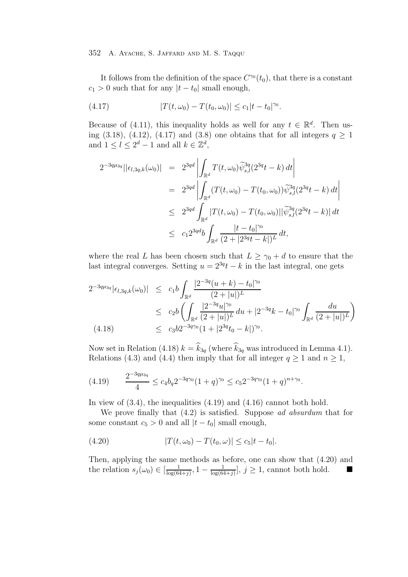It follows from the definition of the space  $C^{\gamma o}(t_0)$ , that there is a constant  $c_1 > 0$  such that for any  $|t - t_0|$  small enough,

(4.17) 
$$
|T(t,\omega_0)-T(t_0,\omega_0)|\leq c_1|t-t_0|^{\gamma_0}.
$$

Because of (4.11), this inequality holds as well for any  $t \in \mathbb{R}^d$ . Then using (3.18), (4.12), (4.17) and (3.8) one obtains that for all integers  $q \ge 1$ and  $1 \leq l \leq 2^d - 1$  and all  $k \in \mathbb{Z}^d$ ,

$$
2^{-3q\mu_{3q}}||\epsilon_{l,3q,k}(\omega_{0})| = 2^{3qd} \left| \int_{\mathbb{R}^{d}} T(t,\omega_{0}) \widetilde{\psi}_{s,l}^{3q} (2^{3q}t - k) dt \right|
$$
  
\n
$$
= 2^{3qd} \left| \int_{\mathbb{R}^{d}} (T(t,\omega_{0}) - T(t_{0},\omega_{0})) \widetilde{\psi}_{s,l}^{3q} (2^{3q}t - k) dt \right|
$$
  
\n
$$
\leq 2^{3qd} \int_{\mathbb{R}^{d}} |T(t,\omega_{0}) - T(t_{0},\omega_{0})| |\widetilde{\psi}_{s,l}^{3q} (2^{3q}t - k) | dt
$$
  
\n
$$
\leq c_{1} 2^{3qd} b \int_{\mathbb{R}^{d}} \frac{|t - t_{0}|^{\gamma_{0}}}{(2 + |2^{3q}t - k|)^{L}} dt,
$$

where the real L has been chosen such that  $L \geq \gamma_0 + d$  to ensure that the last integral converges. Setting  $u = 2^{3q}t - k$  in the last integral, one gets

$$
2^{-3q\mu_{3q}}|\epsilon_{l,3q,k}(\omega_{0})| \leq c_{1}b \int_{\mathbb{R}^{d}} \frac{|2^{-3q}(u+k) - t_{0}|^{\gamma_{0}}}{(2+|u|)^{L}}
$$
  
\n
$$
\leq c_{2}b \left( \int_{\mathbb{R}^{d}} \frac{|2^{-3q}u|^{\gamma_{0}}}{(2+|u|)^{L}} du + |2^{-3q}k - t_{0}|^{\gamma_{0}} \int_{\mathbb{R}^{d}} \frac{du}{(2+|u|)^{L}} \right)
$$
  
\n(4.18) 
$$
\leq c_{3}b2^{-3q\gamma_{0}}(1+|2^{3q}t_{0} - k|)^{\gamma_{0}}.
$$

Now set in Relation (4.18)  $k = \hat{k}_{3q}$  (where  $\hat{k}_{3q}$  was introduced in Lemma 4.1). Relations (4.3) and (4.4) then imply that for all integer  $q \ge 1$  and  $n \ge 1$ ,

$$
(4.19) \qquad \frac{2^{-3q\mu_{3q}}}{4} \le c_4 b_q 2^{-3q\gamma_0} (1+q)^{\gamma_0} \le c_5 2^{-3q\gamma_0} (1+q)^{n+\gamma_0}.
$$

In view of  $(3.4)$ , the inequalities  $(4.19)$  and  $(4.16)$  cannot both hold.

We prove finally that  $(4.2)$  is satisfied. Suppose ad absurdum that for some constant  $c_5 > 0$  and all  $|t - t_0|$  small enough,

(4.20) 
$$
|T(t, \omega_0) - T(t_0, \omega)| \leq c_5 |t - t_0|.
$$

Then, applying the same methods as before, one can show that (4.20) and the relation  $s_j(\omega_0) \in \left[\frac{1}{\log(64+j)}, 1 - \frac{1}{\log(64+j)}\right], j \ge 1$ , cannot both hold.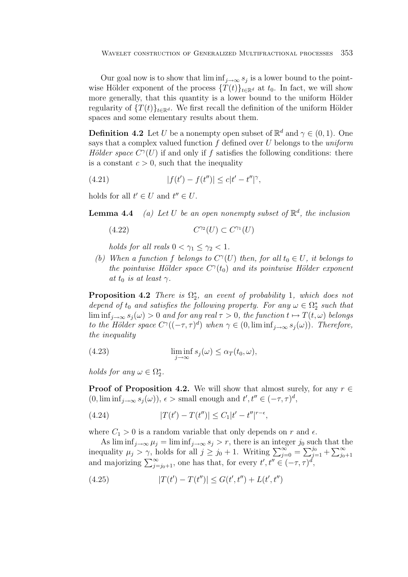Our goal now is to show that  $\liminf_{j\to\infty} s_j$  is a lower bound to the pointwise Hölder exponent of the process  $\{T(t)\}_{t\in\mathbb{R}^d}$  at  $t_0$ . In fact, we will show more generally, that this quantity is a lower bound to the uniform Hölder regularity of  $\{T(t)\}_t \in \mathbb{R}^d$ . We first recall the definition of the uniform Hölder spaces and some elementary results about them.

**Definition 4.2** Let U be a nonempty open subset of  $\mathbb{R}^d$  and  $\gamma \in (0,1)$ . One says that a complex valued function  $f$  defined over  $U$  belongs to the *uniform* Hölder space  $C^{\gamma}(U)$  if and only if f satisfies the following conditions: there is a constant  $c > 0$ , such that the inequality

(4.21) 
$$
|f(t') - f(t'')| \leq c|t' - t''|^{\gamma},
$$

holds for all  $t' \in U$  and  $t'' \in U$ .

**Lemma 4.4** (a) Let U be an open nonempty subset of  $\mathbb{R}^d$ , the inclusion

$$
(4.22)\qquad \qquad C^{\gamma_2}(U) \subset C^{\gamma_1}(U)
$$

holds for all reals  $0 < \gamma_1 \leq \gamma_2 < 1$ .

(b) When a function f belongs to  $C^{\gamma}(U)$  then, for all  $t_0 \in U$ , it belongs to the pointwise Hölder space  $C^{\gamma}(t_0)$  and its pointwise Hölder exponent at  $t_0$  is at least  $\gamma$ .

**Proposition 4.2** There is  $\Omega^*_2$ , an event of probability 1, which does not<br>depend of t, and estimate following proposity. For any  $\Omega \subset \Omega^*$  and that depend of t<sub>0</sub> and satisfies the following property. For any  $\omega \in \Omega^*_{2}$  such that  $\liminf_{n \to \infty} \omega_n(\omega) > 0$  and for any  $\text{real} \subset \Sigma$ , 0, the function  $t \mapsto T(t,\omega)$  belonger  $\liminf_{j\to\infty} s_j(\omega) > 0$  and for any real  $\tau > 0$ , the function  $t \mapsto T(t,\omega)$  belongs to the Hölder space  $C^{\gamma}((-\tau,\tau)^d)$  when  $\gamma \in (0, \liminf_{j\to\infty} s_j(\omega))$ . Therefore, the inequality

(4.23) 
$$
\liminf_{j \to \infty} s_j(\omega) \leq \alpha_T(t_0, \omega),
$$

holds for any  $\omega \in \Omega_2^*$ .

**Proof of Proposition 4.2.** We will show that almost surely, for any  $r \in$  $(0, \liminf_{j \to \infty} s_j(\omega)), \epsilon > \text{ small enough and } t', t'' \in (-\tau, \tau)^d,$ 

(4.24) 
$$
|T(t') - T(t'')| \leq C_1 |t' - t''|^{r - \epsilon},
$$

where  $C_1 > 0$  is a random variable that only depends on r and  $\epsilon$ .

As  $\liminf_{j\to\infty} \mu_j = \liminf_{j\to\infty} s_j > r$ , there is an integer  $j_0$  such that the inequality  $\mu_j > \gamma$ , holds for all  $j \ge j_0 + 1$ . Writing  $\sum_{j=0}^{\infty} = \sum_{j=1}^{j_0} + \sum_{j_0+1}^{\infty}$ and majorizing  $\sum_{j=j_0+1}^{\infty}$ , one has that, for every  $t', t'' \in (-\tau, \tau)^d$ ,

(4.25) 
$$
|T(t') - T(t'')| \le G(t', t'') + L(t', t'')
$$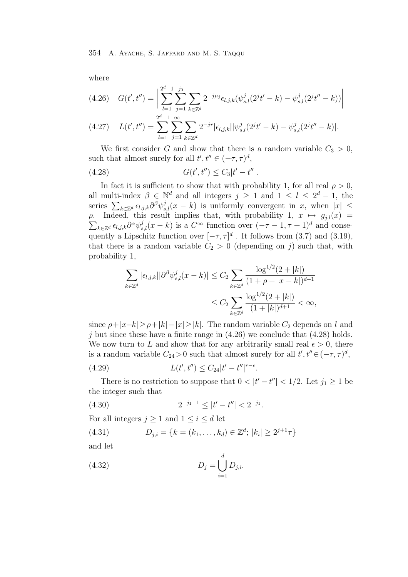where

$$
(4.26)\quad G(t',t'') = \left| \sum_{l=1}^{2^d-1} \sum_{j=1}^{j_0} \sum_{k \in \mathbb{Z}^d} 2^{-j\mu_j} \epsilon_{l,j,k} (\psi_{s,l}^j (2^j t' - k) - \psi_{s,l}^j (2^j t'' - k)) \right|
$$

$$
(4.27) \quad L(t',t'') = \sum_{l=1}^{2^d-1} \sum_{j=1}^{\infty} \sum_{k \in \mathbb{Z}^d} 2^{-jr} |\epsilon_{l,j,k}| |\psi_{s,l}^j(2^jt'-k) - \psi_{s,l}^j(2^jt''-k)|.
$$

We first consider G and show that there is a random variable  $C_3 > 0$ , such that almost surely for all  $t', t'' \in (-\tau, \tau)^d$ ,

(4.28) 
$$
G(t', t'') \leq C_3|t'-t''|.
$$

In fact it is sufficient to show that with probability 1, for all real  $\rho > 0$ , all multi-index  $\beta \in \mathbb{N}^d$  and all integers  $j \ge 1$  and  $1 \le l \le 2^d - 1$ , the series  $\sum_{k\in\mathbb{Z}^d} \epsilon_{l,j,k} \partial^{\beta} \psi_{s,l}^j(x-k)$  is uniformly convergent in  $\overline{x}$ , when  $|x| \leq$ ρ. Indeed, this result implies that, with probability 1,  $x \mapsto g_{i,l}(x) =$  $\sum_{k\in\mathbb{Z}^d} \epsilon_{l,j,k} \partial^{\alpha} \psi_{s,l}^j(x-k)$  is a  $C^{\infty}$  function over  $(-\tau-1, \tau+1)^d$  and consequently a Lipschitz function over  $[-\tau, \tau]^d$ . It follows from (3.7) and (3.19), that there is a random variable  $C_2 > 0$  (depending on j) such that, with probability 1,

$$
\sum_{k \in \mathbb{Z}^d} |\epsilon_{l,j,k}| |\partial^{\beta} \psi_{s,l}^j(x-k)| \leq C_2 \sum_{k \in \mathbb{Z}^d} \frac{\log^{1/2}(2+|k|)}{(1+\rho+|x-k|)^{d+1}} \leq C_2 \sum_{k \in \mathbb{Z}^d} \frac{\log^{1/2}(2+|k|)}{(1+|k|)^{d+1}} < \infty,
$$

since  $\rho+|x-k|\geq \rho+|k|-|x|\geq |k|$ . The random variable  $C_2$  depends on l and j but since these have a finite range in  $(4.26)$  we conclude that  $(4.28)$  holds. We now turn to L and show that for any arbitrarily small real  $\epsilon > 0$ , there is a random variable  $C_{24} > 0$  such that almost surely for all  $t', t'' \in (-\tau, \tau)^d$ ,

(4.29) 
$$
L(t', t'') \leq C_{24} |t' - t''|^{r - \epsilon}.
$$

There is no restriction to suppose that  $0 < |t'-t''| < 1/2$ . Let  $j_1 \ge 1$  be integer such that the integer such that

$$
(4.30) \t\t 2^{-j_1-1} \le |t'-t''| < 2^{-j_1}.
$$

For all integers  $j \geq 1$  and  $1 \leq i \leq d$  let

(4.31) 
$$
D_{j,i} = \{k = (k_1, ..., k_d) \in \mathbb{Z}^d; |k_i| \geq 2^{j+1}\tau\}
$$

and let

(4.32) 
$$
D_j = \bigcup_{i=1}^d D_{j,i}.
$$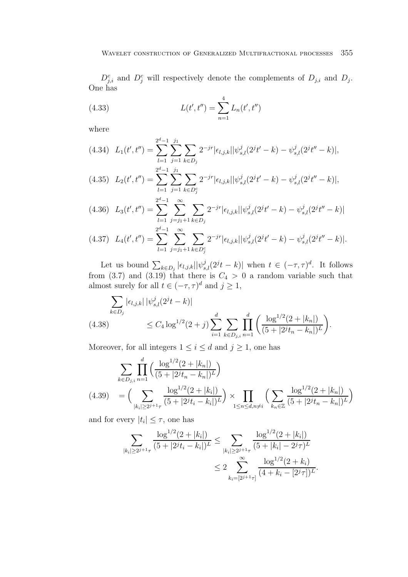$D_{i,i}^c$  and  $D_i^c$  will respectively denote the complements of  $D_{j,i}$  and  $D_j$ . One has

(4.33) 
$$
L(t', t'') = \sum_{n=1}^{4} L_n(t', t'')
$$

where

$$
(4.34)\ \ L_1(t',t'') = \sum_{l=1}^{2^d-1} \sum_{j=1}^{j_1} \sum_{k \in D_j} 2^{-jr} |\epsilon_{l,j,k}| |\psi_{s,l}^j(2^jt'-k) - \psi_{s,l}^j(2^jt''-k)|,
$$
  

$$
2^{d-1} j_1
$$

$$
(4.35) \quad L_2(t',t'') = \sum_{l=1}^{2^d-1} \sum_{j=1}^{j_1} \sum_{k \in D_j^c} 2^{-jr} |\epsilon_{l,j,k}| |\psi_{s,l}^j(2^jt'-k) - \psi_{s,l}^j(2^jt''-k)|,
$$

$$
(4.36)\quad L_3(t',t'') = \sum_{l=1}^{2^d-1} \sum_{j=j_1+1}^{\infty} \sum_{k \in D_j} 2^{-jr} |\epsilon_{l,j,k}| |\psi_{s,l}^j(2^jt'-k) - \psi_{s,l}^j(2^jt''-k)|
$$

$$
(4.37) \quad L_4(t',t'') = \sum_{l=1}^{2^d-1} \sum_{j=j_1+1}^{\infty} \sum_{k \in D_j^c} 2^{-jr} |\epsilon_{l,j,k}| |\psi_{s,l}^j(2^jt'-k) - \psi_{s,l}^j(2^jt''-k)|.
$$

Let us bound  $\sum_{k \in D_j} |\epsilon_{l,j,k}| |\psi_{s,l}^j(2^{jt} - k)|$  when  $t \in (-\tau, \tau)^d$ . It follows from (3.7) and (3.19) that there is  $C_4 > 0$  a random variable such that almost surely for all  $t \in (-\tau, \tau)^d$  and  $j \ge 1$ ,

$$
\sum_{k \in D_j} |\epsilon_{l,j,k}| |\psi_{s,l}^j(2^j t - k)|
$$
\n
$$
\leq C_4 \log^{1/2} (2 + j) \sum_{i=1}^d \sum_{k \in D_{j,i}} \prod_{n=1}^d \left( \frac{\log^{1/2} (2 + |k_n|)}{(5 + |2^j t_n - k_n|)^L} \right).
$$

Moreover, for all integers  $1 \leq i \leq d$  and  $j \geq 1$ , one has

$$
\sum_{k \in D_{j,i}} \prod_{n=1}^{d} \left( \frac{\log^{1/2}(2+|k_n|)}{(5+|2^j t_n - k_n|)^L} \right)
$$
\n
$$
(4.39) = \left( \sum_{|k_i| \ge 2^{j+1}\tau} \frac{\log^{1/2}(2+|k_i|)}{(5+|2^j t_i - k_i|)^L} \right) \times \prod_{1 \le n \le d, n \ne i} \left( \sum_{k_n \in \mathbb{Z}} \frac{\log^{1/2}(2+|k_n|)}{(5+|2^j t_n - k_n|)^L} \right)
$$

and for every  $|t_i| \leq \tau$ , one has

$$
\sum_{|k_i| \ge 2^{j+1}\tau} \frac{\log^{1/2}(2+|k_i|)}{(5+|2^jt_i-k_i|)^L} \le \sum_{|k_i| \ge 2^{j+1}\tau} \frac{\log^{1/2}(2+|k_i|)}{(5+|k_i|-2^j\tau)^L} \le 2 \sum_{k_i=[2^{j+1}\tau]}^{\infty} \frac{\log^{1/2}(2+k_i)}{(4+k_i-[2^j\tau])^L}.
$$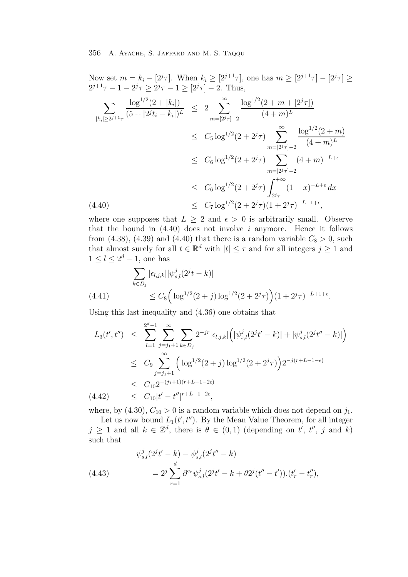Now set  $m = k_i - [2^j \tau]$ . When  $k_i \geq [2^{j+1} \tau]$ , one has  $m \geq [2^{j+1} \tau] - [2^j \tau] \geq$  $2^{j+1}\tau - 1 - 2^j\tau \geq 2^j\tau - 1 \geq [2^j\tau] - 2$ . Thus,

$$
\sum_{|k_i| \ge 2^{j+1}\tau} \frac{\log^{1/2}(2+|k_i|)}{(5+|2^jt_i-k_i|)^L} \le 2 \sum_{m=[2^j\tau]-2}^{\infty} \frac{\log^{1/2}(2+m+[2^j\tau])}{(4+m)^L}
$$
\n
$$
\le C_5 \log^{1/2}(2+2^j\tau) \sum_{m=[2^j\tau]-2}^{\infty} \frac{\log^{1/2}(2+m)}{(4+m)^L}
$$
\n
$$
\le C_6 \log^{1/2}(2+2^j\tau) \sum_{m=[2^j\tau]-2}^{\infty} (4+m)^{-L+\epsilon}
$$
\n
$$
\le C_6 \log^{1/2}(2+2^j\tau) \int_{2^j\tau}^{+\infty} (1+x)^{-L+\epsilon} dx
$$
\n(4.40)\n
$$
\le C_7 \log^{1/2}(2+2^j\tau)(1+2^j\tau)^{-L+1+\epsilon},
$$

where one supposes that  $L \geq 2$  and  $\epsilon > 0$  is arbitrarily small. Observe that the bound in  $(4.40)$  does not involve i anymore. Hence it follows from (4.38), (4.39) and (4.40) that there is a random variable  $C_8 > 0$ , such that almost surely for all  $t \in \mathbb{R}^d$  with  $|t| \leq \tau$  and for all integers  $j \geq 1$  and  $1 \leq l \leq 2^d-1$ , one has

$$
\sum_{k \in D_j} |\epsilon_{l,j,k}| |\psi_{s,l}^j(2^jt - k)|
$$
\n
$$
\leq C_8 \Big( \log^{1/2} (2+j) \log^{1/2} (2+2^j \tau) \Big) (1+2^j \tau)^{-L+1+\epsilon}.
$$

Using this last inequality and (4.36) one obtains that

$$
L_3(t',t'') \leq \sum_{l=1}^{2^d-1} \sum_{j=j_1+1}^{\infty} \sum_{k \in D_j} 2^{-jr} |\epsilon_{l,j,k}| \left( |\psi_{s,l}^j(2^j t' - k)| + |\psi_{s,l}^j(2^j t'' - k)| \right)
$$
  
\n
$$
\leq C_9 \sum_{j=j_1+1}^{\infty} \left( \log^{1/2}(2+j) \log^{1/2}(2+2^j \tau) \right) 2^{-j(r+L-1-\epsilon)}
$$
  
\n
$$
\leq C_{10} 2^{-(j_1+1)(r+L-1-2\epsilon)}
$$
  
\n
$$
(4.42) \leq C_{10} |t' - t''|^{r+L-1-2\epsilon},
$$

where, by (4.30),  $C_{10} > 0$  is a random variable which does not depend on  $j_1$ .

Let us now bound  $L_1(t', t'')$ . By the Mean Value Theorem, for all integer  $j \geq 1$  and all  $k \in \mathbb{Z}^d$ , there is  $\theta \in (0,1)$  (depending on t', t'', j and k) such that

(4.43) 
$$
\psi_{s,l}^{j}(2^{j}t'-k) - \psi_{s,l}^{j}(2^{j}t''-k)
$$

$$
= 2^{j} \sum_{r=1}^{d} \partial^{e_{r}} \psi_{s,l}^{j}(2^{j}t'-k+\theta 2^{j}(t''-t')). (t'_{r}-t'_{r}),
$$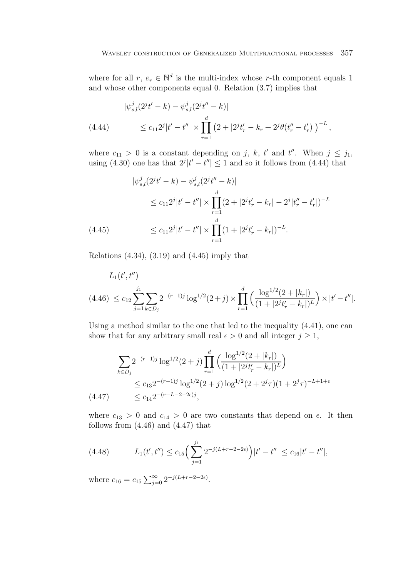where for all  $r, e_r \in \mathbb{N}^d$  is the multi-index whose r-th component equals 1 and whose other components equal 0. Relation (3.7) implies that

$$
|\psi_{s,l}^{j}(2^{j}t'-k) - \psi_{s,l}^{j}(2^{j}t''-k)|
$$
  
(4.44) 
$$
\leq c_{11}2^{j}|t'-t''| \times \prod_{r=1}^{d} (2+|2^{j}t'_{r}-k_{r}+2^{j}\theta(t''_{r}-t'_{r})|)^{-L},
$$

where  $c_{11} > 0$  is a constant depending on j, k, t' and t''. When  $j \leq j_1$ , using (4.30) one has that  $2^{j}|t'-t''| \leq 1$  and so it follows from (4.44) that

$$
|\psi_{s,l}^{j}(2^{j}t'-k) - \psi_{s,l}^{j}(2^{j}t''-k)|
$$
  
\n
$$
\leq c_{11}2^{j}|t'-t''| \times \prod_{r=1}^{d} (2+|2^{j}t'_{r}-k_{r}|-2^{j}|t''_{r}-t'_{r}|)^{-L}
$$
  
\n(4.45) 
$$
\leq c_{11}2^{j}|t'-t''| \times \prod_{r=1}^{d} (1+|2^{j}t'_{r}-k_{r}|)^{-L}.
$$

Relations  $(4.34)$ ,  $(3.19)$  and  $(4.45)$  imply that

$$
L_1(t',t'')
$$
  
(4.46)  $\leq c_{12} \sum_{j=1}^{j_1} \sum_{k \in D_j} 2^{-(r-1)j} \log^{1/2}(2+j) \times \prod_{r=1}^d \left( \frac{\log^{1/2}(2+|k_r|)}{(1+|2^j t_r'-k_r|)^L} \right) \times |t'-t''|.$ 

Using a method similar to the one that led to the inequality (4.41), one can show that for any arbitrary small real  $\epsilon > 0$  and all integer  $j \geq 1$ ,

$$
\sum_{k \in D_j} 2^{-(r-1)j} \log^{1/2}(2+j) \prod_{r=1}^d \left( \frac{\log^{1/2}(2+|k_r|)}{(1+|2^j t'_r - k_r|)^L} \right)
$$
\n
$$
\leq c_{13} 2^{-(r-1)j} \log^{1/2}(2+j) \log^{1/2}(2+2^j \tau) (1+2^j \tau)^{-L+1+\epsilon}
$$
\n
$$
(4.47) \leq c_{14} 2^{-(r+L-2-2\epsilon)j},
$$

where  $c_{13} > 0$  and  $c_{14} > 0$  are two constants that depend on  $\epsilon$ . It then follows from  $(4.46)$  and  $(4.47)$  that

(4.48) 
$$
L_1(t',t'') \leq c_{15} \Big(\sum_{j=1}^{j_1} 2^{-j(L+r-2-2\epsilon)}\Big)|t'-t''| \leq c_{16}|t'-t''|,
$$

where  $c_{16} = c_{15} \sum_{j=0}^{\infty} 2^{-j(L+r-2-2\epsilon)}$ .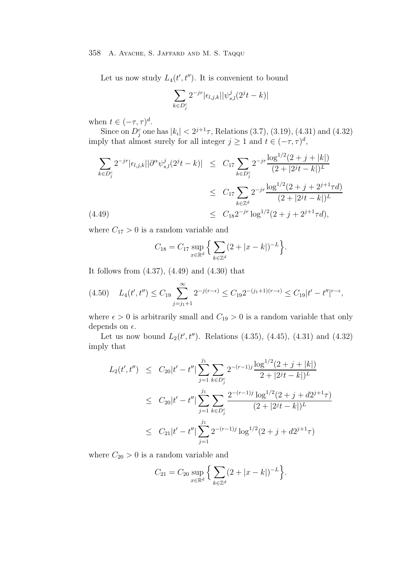Let us now study  $L_4(t', t'')$ . It is convenient to bound

$$
\sum_{k\in D_j^c} 2^{-jr} |\epsilon_{l,j,k}||\psi_{s,l}^j(2^jt-k)|
$$

when  $t \in (-\tau, \tau)^d$ .

Since on  $D_j^c$  one has  $|k_i| < 2^{j+1}\tau$ , Relations (3.7), (3.19), (4.31) and (4.32) imply that almost surely for all integer  $j \geq 1$  and  $t \in (-\tau, \tau)^d$ ,

$$
\sum_{k \in D_j^c} 2^{-jr} |\epsilon_{l,j,k}| |\partial^{\alpha} \psi_{s,l}^j(2^j t - k)| \leq C_{17} \sum_{k \in D_j^c} 2^{-jr} \frac{\log^{1/2} (2 + j + |k|)}{(2 + |2^j t - k|)^L}
$$
  

$$
\leq C_{17} \sum_{k \in \mathbb{Z}^d} 2^{-jr} \frac{\log^{1/2} (2 + j + 2^{j+1} \tau d)}{(2 + |2^j t - k|)^L}
$$
  
(4.49)  

$$
\leq C_{18} 2^{-jr} \log^{1/2} (2 + j + 2^{j+1} \tau d),
$$

where  $C_{17} > 0$  is a random variable and

$$
C_{18} = C_{17} \sup_{x \in \mathbb{R}^d} \left\{ \sum_{k \in \mathbb{Z}^d} (2 + |x - k|)^{-L} \right\}.
$$

It follows from (4.37), (4.49) and (4.30) that

$$
(4.50) \quad L_4(t',t'') \le C_{19} \sum_{j=j_1+1}^{\infty} 2^{-j(r-\epsilon)} \le C_{19} 2^{-(j_1+1)(r-\epsilon)} \le C_{19} |t'-t''|^{r-\epsilon},
$$

where  $\epsilon > 0$  is arbitrarily small and  $C_{19} > 0$  is a random variable that only depends on  $\epsilon$ .

Let us now bound  $L_2(t', t'')$ . Relations (4.35), (4.45), (4.31) and (4.32) imply that

$$
L_2(t',t'') \leq C_{20}|t'-t''| \sum_{j=1}^{j_1} \sum_{k \in D_j^c} 2^{-(r-1)j} \frac{\log^{1/2}(2+j+|k|)}{2+|2^{j}t-k|)^{L}}
$$
  

$$
\leq C_{20}|t'-t''| \sum_{j=1}^{j_1} \sum_{k \in D_j^c} \frac{2^{-(r-1)j} \log^{1/2}(2+j+d2^{j+1}\tau)}{(2+|2^{j}t-k|)^{L}}
$$
  

$$
\leq C_{21}|t'-t''| \sum_{j=1}^{j_1} 2^{-(r-1)j} \log^{1/2}(2+j+d2^{j+1}\tau)
$$

where  $C_{20} > 0$  is a random variable and

$$
C_{21} = C_{20} \sup_{x \in \mathbb{R}^d} \left\{ \sum_{k \in \mathbb{Z}^d} (2 + |x - k|)^{-L} \right\}.
$$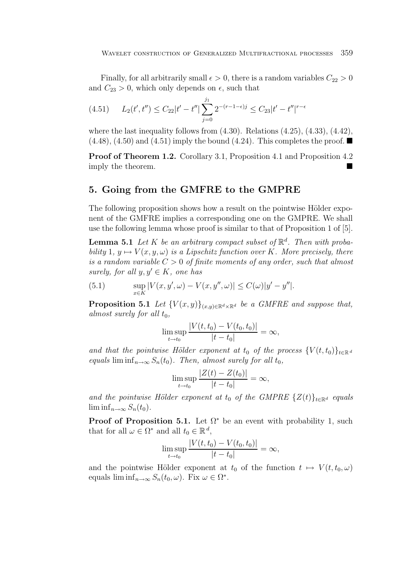Finally, for all arbitrarily small  $\epsilon > 0$ , there is a random variables  $C_{22} > 0$ and  $C_{23} > 0$ , which only depends on  $\epsilon$ , such that

$$
(4.51) \qquad L_2(t', t'') \le C_{22}|t'-t''| \sum_{j=0}^{j_1} 2^{-(r-1-\epsilon)j} \le C_{23}|t'-t''|^{r-\epsilon}
$$

where the last inequality follows from  $(4.30)$ . Relations  $(4.25)$ ,  $(4.33)$ ,  $(4.42)$ ,  $(4.48)$ ,  $(4.50)$  and  $(4.51)$  imply the bound  $(4.24)$ . This completes the proof.

**Proof of Theorem 1.2.** Corollary 3.1, Proposition 4.1 and Proposition 4.2 imply the theorem.

# **5. Going from the GMFRE to the GMPRE**

The following proposition shows how a result on the pointwise Hölder exponent of the GMFRE implies a corresponding one on the GMPRE. We shall use the following lemma whose proof is similar to that of Proposition 1 of [5].

**Lemma 5.1** Let K be an arbitrary compact subset of  $\mathbb{R}^d$ . Then with probability 1,  $y \mapsto V(x, y, \omega)$  is a Lipschitz function over K. More precisely, there is a random variable  $C > 0$  of finite moments of any order, such that almost surely, for all  $y, y' \in K$ , one has

(5.1) 
$$
\sup_{x \in K} |V(x, y', \omega) - V(x, y'', \omega)| \le C(\omega)|y' - y''|.
$$

**Proposition 5.1** Let  ${V(x, y)}_{(x, y) \in \mathbb{R}^d \times \mathbb{R}^d}$  be a GMFRE and suppose that, almost surely for all  $t_0$ ,

$$
\limsup_{t \to t_0} \frac{|V(t, t_0) - V(t_0, t_0)|}{|t - t_0|} = \infty,
$$

and that the pointwise Hölder exponent at  $t_0$  of the process  $\{V(t, t_0)\}_{t \in \mathbb{R}^d}$ equals lim inf<sub>n→∞</sub>  $S_n(t_0)$ . Then, almost surely for all  $t_0$ ,

$$
\limsup_{t \to t_0} \frac{|Z(t) - Z(t_0)|}{|t - t_0|} = \infty,
$$

and the pointwise Hölder exponent at t<sub>0</sub> of the GMPRE  $\{Z(t)\}_t \in \mathbb{R}^d$  equals  $\liminf_{n\to\infty}S_n(t_0)$ .

**Proof of Proposition 5.1.** Let  $\Omega^*$  be an event with probability 1, such that for all  $\omega \in \Omega^*$  and all  $t_0 \in \mathbb{R}^d$ ,

$$
\limsup_{t \to t_0} \frac{|V(t, t_0) - V(t_0, t_0)|}{|t - t_0|} = \infty,
$$

and the pointwise Hölder exponent at  $t_0$  of the function  $t \mapsto V(t, t_0, \omega)$ equals  $\liminf_{n\to\infty} S_n(t_0,\omega)$ . Fix  $\omega \in \Omega^*$ .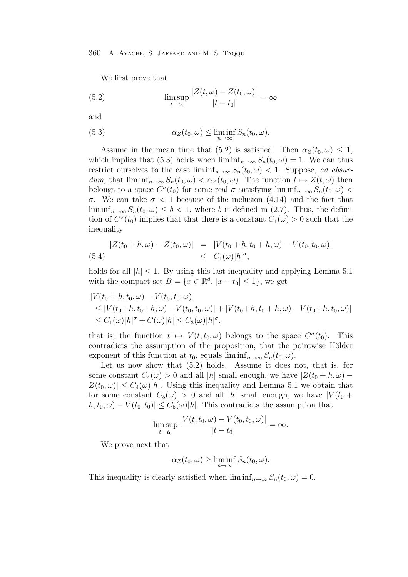We first prove that

(5.2) 
$$
\limsup_{t \to t_0} \frac{|Z(t, \omega) - Z(t_0, \omega)|}{|t - t_0|} = \infty
$$

and

(5.3) 
$$
\alpha_Z(t_0,\omega) \leq \liminf_{n \to \infty} S_n(t_0,\omega).
$$

Assume in the mean time that (5.2) is satisfied. Then  $\alpha_Z(t_0, \omega) \leq 1$ , which implies that (5.3) holds when  $\liminf_{n\to\infty} S_n(t_0,\omega) = 1$ . We can thus restrict ourselves to the case  $\liminf_{n\to\infty} S_n(t_0, \omega) < 1$ . Suppose, ad absurdum, that  $\liminf_{n\to\infty} S_n(t_0,\omega) < \alpha_Z(t_0,\omega)$ . The function  $t \mapsto Z(t,\omega)$  then belongs to a space  $C^{\sigma}(t_0)$  for some real  $\sigma$  satisfying lim inf $_{n\to\infty} S_n(t_0,\omega)$ σ. We can take σ < 1 because of the inclusion (4.14) and the fact that  $\liminf_{n\to\infty} S_n(t_0,\omega) \leq b < 1$ , where b is defined in (2.7). Thus, the definition of  $C^{\sigma}(t_0)$  implies that that there is a constant  $C_1(\omega) > 0$  such that the inequality

$$
|Z(t_0 + h, \omega) - Z(t_0, \omega)| = |V(t_0 + h, t_0 + h, \omega) - V(t_0, t_0, \omega)|
$$
  
(5.4) 
$$
\leq C_1(\omega)|h|^{\sigma},
$$

holds for all  $|h| \leq 1$ . By using this last inequality and applying Lemma 5.1 with the compact set  $B = \{x \in \mathbb{R}^d, |x - t_0| \leq 1\}$ , we get

$$
|V(t_0 + h, t_0, \omega) - V(t_0, t_0, \omega)|
$$
  
\n
$$
\leq |V(t_0 + h, t_0 + h, \omega) - V(t_0, t_0, \omega)| + |V(t_0 + h, t_0 + h, \omega) - V(t_0 + h, t_0, \omega)|
$$
  
\n
$$
\leq C_1(\omega)|h|^\sigma + C(\omega)|h| \leq C_3(\omega)|h|^\sigma,
$$

that is, the function  $t \mapsto V(t, t_0, \omega)$  belongs to the space  $C^{\sigma}(t_0)$ . This contradicts the assumption of the proposition, that the pointwise Hölder exponent of this function at  $t_0$ , equals  $\liminf_{n\to\infty} S_n(t_0,\omega)$ .

Let us now show that (5.2) holds. Assume it does not, that is, for some constant  $C_4(\omega) > 0$  and all |h| small enough, we have  $|Z(t_0 + h, \omega) Z(t_0, \omega)| \leq C_4(\omega)|h|$ . Using this inequality and Lemma 5.1 we obtain that for some constant  $C_5(\omega) > 0$  and all |h| small enough, we have  $|V(t_0 +$  $|h, t_0, \omega) - V(t_0, t_0)| \leq C_5(\omega)|h|$ . This contradicts the assumption that

$$
\limsup_{t \to t_0} \frac{|V(t, t_0, \omega) - V(t_0, t_0, \omega)|}{|t - t_0|} = \infty.
$$

We prove next that

$$
\alpha_Z(t_0,\omega) \ge \liminf_{n \to \infty} S_n(t_0,\omega).
$$

This inequality is clearly satisfied when  $\liminf_{n\to\infty}S_n(t_0,\omega)=0$ .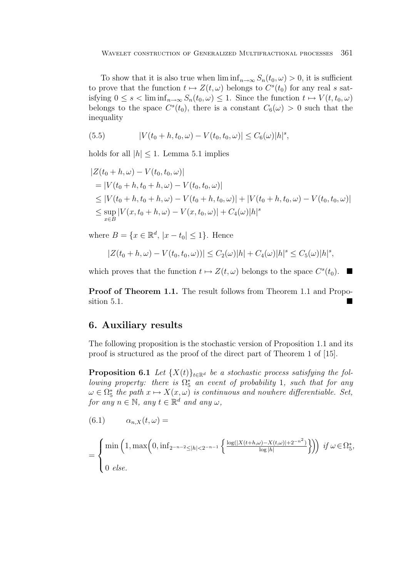To show that it is also true when  $\liminf_{n\to\infty} S_n(t_0, \omega) > 0$ , it is sufficient to prove that the function  $t \mapsto Z(t,\omega)$  belongs to  $C^{s}(t_0)$  for any real s satisfying  $0 \leq s < \liminf_{n \to \infty} S_n(t_0, \omega) \leq 1$ . Since the function  $t \mapsto V(t, t_0, \omega)$ belongs to the space  $C<sup>s</sup>(t<sub>0</sub>)$ , there is a constant  $C<sub>6</sub>(\omega) > 0$  such that the inequality

(5.5) 
$$
|V(t_0+h,t_0,\omega)-V(t_0,t_0,\omega)|\leq C_6(\omega)|h|^s,
$$

holds for all  $|h| \leq 1$ . Lemma 5.1 implies

$$
|Z(t_0 + h, \omega) - V(t_0, t_0, \omega)|
$$
  
= |V(t\_0 + h, t\_0 + h, \omega) - V(t\_0, t\_0, \omega)|  

$$
\leq |V(t_0 + h, t_0 + h, \omega) - V(t_0 + h, t_0, \omega)| + |V(t_0 + h, t_0, \omega) - V(t_0, t_0, \omega)|
$$
  

$$
\leq \sup_{x \in B} |V(x, t_0 + h, \omega) - V(x, t_0, \omega)| + C_4(\omega)|h|^{s}
$$

where  $B = \{x \in \mathbb{R}^d, |x - t_0| \leq 1\}$ . Hence

$$
|Z(t_0+h,\omega)-V(t_0,t_0,\omega))| \leq C_2(\omega)|h| + C_4(\omega)|h|^{s} \leq C_5(\omega)|h|^{s},
$$

which proves that the function  $t \mapsto Z(t,\omega)$  belongs to the space  $C<sup>s</sup>(t_0)$ .

**Proof of Theorem 1.1.** The result follows from Theorem 1.1 and Proposition 5.1.

# **6. Auxiliary results**

The following proposition is the stochastic version of Proposition 1.1 and its proof is structured as the proof of the direct part of Theorem 1 of [15].

**Proposition 6.1** Let  $\{X(t)\}_t \in \mathbb{R}^d$  be a stochastic process satisfying the following property: there is  $\Omega_5^*$  an event of probability 1, such that for any<br> $\Omega_5 \subset \Omega^*$  the nath  $x \mapsto X(x, t)$  is continuous and nowhere differentiable. Set  $\omega \in \Omega_5^*$  the path  $x \mapsto X(x, \omega)$  is continuous and nowhere differentiable. Set,<br>for any  $x \in \mathbb{N}$  any  $t \in \mathbb{R}^d$  and any  $\omega$ . for any  $n \in \mathbb{N}$ , any  $t \in \mathbb{R}^d$  and any  $\omega$ ,

(6.1) 
$$
\alpha_{n,X}(t,\omega) =
$$
  
= 
$$
\begin{cases} \min\left(1, \max\left(0, \inf_{2^{-n-2} \le |h| < 2^{-n-1} \right} \left\{\frac{\log(|X(t+h,\omega)-X(t,\omega)|+2^{-n^2})}{\log|h|}\right\}\right) \text{ if } \omega \in \Omega_5^*, \\ 0 \text{ else.} \end{cases}
$$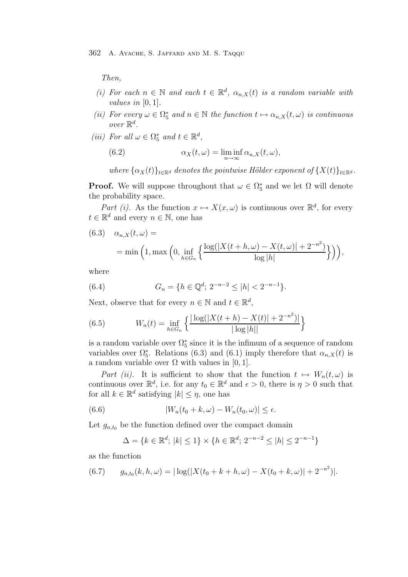Then,

- (i) For each  $n \in \mathbb{N}$  and each  $t \in \mathbb{R}^d$ ,  $\alpha_{n,X}(t)$  is a random variable with *values in*  $[0, 1]$ .
- (ii) For every  $\omega \in \Omega_5^*$  and  $n \in \mathbb{N}$  the function  $t \mapsto \alpha_{n,X}(t,\omega)$  is continuous over  $\mathbb{R}^d$ .
- (iii) For all  $\omega \in \Omega_5^*$  and  $t \in \mathbb{R}^d$ ,

(6.2) 
$$
\alpha_X(t,\omega) = \liminf_{n \to \infty} \alpha_{n,X}(t,\omega),
$$

where  $\{\alpha_X(t)\}_{t\in\mathbb{R}^d}$  denotes the pointwise Hölder exponent of  $\{X(t)\}_{t\in\mathbb{R}^d}$ .

**Proof.** We will suppose throughout that  $\omega \in \Omega_5^*$  and we let  $\Omega$  will denote the probability gases the probability space.

Part (i). As the function  $x \mapsto X(x,\omega)$  is continuous over  $\mathbb{R}^d$ , for every  $t \in \mathbb{R}^d$  and every  $n \in \mathbb{N}$ , one has

 $(6.3)$   $\alpha_{n,X}(t,\omega) =$  $=$  min  $(1, \text{max}\begin{pmatrix} 0, \text{inf} \end{pmatrix})$  $h \equiv G_n$  $\int \log(|X(t+h,\omega)-X(t,\omega)|+2^{-n^2})$  $\log|h|$  $\})$ ,

where

(6.4) 
$$
G_n = \{ h \in \mathbb{Q}^d; 2^{-n-2} \le |h| < 2^{-n-1} \}.
$$

Next, observe that for every  $n \in \mathbb{N}$  and  $t \in \mathbb{R}^d$ ,

(6.5) 
$$
W_n(t) = \inf_{h \in G_n} \left\{ \frac{|\log(|X(t+h) - X(t)| + 2^{-n^2})|}{|\log|h||} \right\}
$$

is a random variable over  $\Omega_5^*$  since it is the infimum of a sequence of random<br>variables over  $\Omega^*$ . Polations (6.3) and (6.1) imply therefore that  $\alpha$ . (t) is variables over  $\Omega_5^*$ . Relations (6.3) and (6.1) imply therefore that  $\alpha_{n,X}(t)$  is a random variable over  $\Omega$  with values in [0, 1].

Part (ii). It is sufficient to show that the function  $t \mapsto W_n(t,\omega)$  is continuous over  $\mathbb{R}^d$ , i.e. for any  $t_0 \in \mathbb{R}^d$  and  $\epsilon > 0$ , there is  $\eta > 0$  such that for all  $k \in \mathbb{R}^d$  satisfying  $|k| \leq \eta$ , one has

(6.6) 
$$
|W_n(t_0+k,\omega)-W_n(t_0,\omega)|\leq\epsilon.
$$

Let  $g_{n,t_0}$  be the function defined over the compact domain

$$
\Delta = \{ k \in \mathbb{R}^d; \, |k| \le 1 \} \times \{ h \in \mathbb{R}^d; \, 2^{-n-2} \le |h| \le 2^{-n-1} \}
$$

as the function

(6.7) 
$$
g_{n,t_0}(k, h, \omega) = |\log(|X(t_0 + k + h, \omega) - X(t_0 + k, \omega)| + 2^{-n^2})|.
$$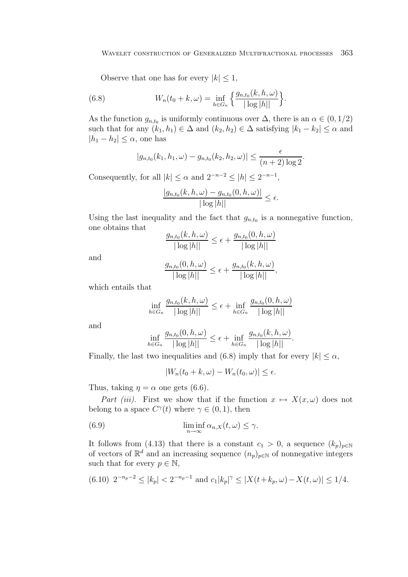Observe that one has for every  $|k| \leq 1$ ,

(6.8) 
$$
W_n(t_0 + k, \omega) = \inf_{h \in G_n} \left\{ \frac{g_{n,t_0}(k, h, \omega)}{|\log|h||} \right\}.
$$

As the function  $g_{n,t_0}$  is uniformly continuous over  $\Delta$ , there is an  $\alpha \in (0,1/2)$ such that for any  $(k_1, h_1) \in \Delta$  and  $(k_2, h_2) \in \Delta$  satisfying  $|k_1 - k_2| \leq \alpha$  and  $|h_1 - h_2| \leq \alpha$ , one has

$$
|g_{n,t_0}(k_1, h_1, \omega) - g_{n,t_0}(k_2, h_2, \omega)| \le \frac{\epsilon}{(n+2)\log 2}.
$$

Consequently, for all  $|k| \le \alpha$  and  $2^{-n-2} \le |h| \le 2^{-n-1}$ ,

$$
\frac{|g_{n,t_0}(k,h,\omega)-g_{n,t_0}(0,h,\omega)|}{|\log|h||}\leq\epsilon.
$$

Using the last inequality and the fact that  $g_{n,t_0}$  is a nonnegative function, one obtains that

$$
\frac{g_{n,t_0}(k, h, \omega)}{|\log|h||} \le \epsilon + \frac{g_{n,t_0}(0, h, \omega)}{|\log|h||}
$$

and

$$
\frac{g_{n,t_0}(0,h,\omega)}{|\log|h||} \leq \epsilon + \frac{g_{n,t_0}(k,h,\omega)}{|\log|h||},
$$

which entails that

$$
\inf_{h \in G_n} \frac{g_{n,t_0}(k, h, \omega)}{|\log|h||} \le \epsilon + \inf_{h \in G_n} \frac{g_{n,t_0}(0, h, \omega)}{|\log|h||}
$$

and

$$
\inf_{h\in G_n}\frac{g_{n,t_0}(0,h,\omega)}{|\log|h||}\leq \epsilon+\inf_{h\in G_n}\frac{g_{n,t_0}(k,h,\omega)}{|\log|h||}.
$$

Finally, the last two inequalities and (6.8) imply that for every  $|k| < \alpha$ ,

$$
|W_n(t_0 + k, \omega) - W_n(t_0, \omega)| \le \epsilon.
$$

Thus, taking  $\eta = \alpha$  one gets (6.6).

Part (iii). First we show that if the function  $x \mapsto X(x,\omega)$  does not belong to a space  $C^{\gamma}(t)$  where  $\gamma \in (0,1)$ , then

(6.9) 
$$
\liminf_{n \to \infty} \alpha_{n,X}(t,\omega) \leq \gamma.
$$

It follows from (4.13) that there is a constant  $c_1 > 0$ , a sequence  $(k_p)_{p \in \mathbb{N}}$ of vectors of  $\mathbb{R}^d$  and an increasing sequence  $(n_p)_{p\in\mathbb{N}}$  of nonnegative integers such that for every  $p \in \mathbb{N}$ ,

$$
(6.10) \ \ 2^{-n_p-2} \le |k_p| < 2^{-n_p-1} \ \text{and} \ c_1 |k_p|^\gamma \le |X(t+k_p, \omega) - X(t, \omega)| \le 1/4.
$$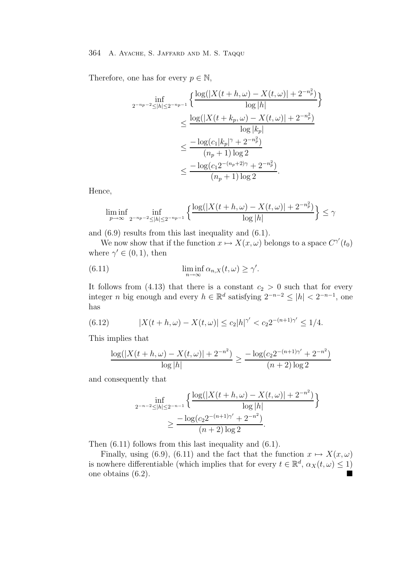Therefore, one has for every  $p \in \mathbb{N}$ ,

$$
\inf_{2^{-n_p-2} \le |h| \le 2^{-n_p-1}} \left\{ \frac{\log(|X(t+h,\omega) - X(t,\omega)| + 2^{-n_p^2})}{\log|h|} \right\}
$$
  

$$
\le \frac{\log(|X(t+k_p,\omega) - X(t,\omega)| + 2^{-n_p^2})}{\log|k_p|}
$$
  

$$
\le \frac{-\log(c_1|k_p|^\gamma + 2^{-n_p^2})}{(n_p+1)\log 2}
$$
  

$$
\le \frac{-\log(c_12^{-(n_p+2)\gamma} + 2^{-n_p^2})}{(n_p+1)\log 2}.
$$

Hence,

$$
\liminf_{p \to \infty} \inf_{2^{-n_p - 2} \le |h| \le 2^{-n_p - 1}} \left\{ \frac{\log(|X(t + h, \omega) - X(t, \omega)| + 2^{-n_p^2})}{\log|h|} \right\} \le \gamma
$$

and (6.9) results from this last inequality and (6.1).

We now show that if the function  $x \mapsto X(x,\omega)$  belongs to a space  $C^{\gamma'}(t_0)$ where  $\gamma' \in (0,1)$ , then

(6.11) 
$$
\liminf_{n \to \infty} \alpha_{n,X}(t,\omega) \ge \gamma'.
$$

It follows from (4.13) that there is a constant  $c_2 > 0$  such that for every integer *n* big enough and every  $h \in \mathbb{R}^d$  satisfying  $2^{-n-2} \leq |h| < 2^{-n-1}$ , one has

(6.12) 
$$
|X(t+h,\omega)-X(t,\omega)| \leq c_2|h|^{\gamma'} < c_2 2^{-(n+1)\gamma'} \leq 1/4.
$$

This implies that

$$
\frac{\log(|X(t+h,\omega) - X(t,\omega)| + 2^{-n^2})}{\log|h|} \ge \frac{-\log(c_2 2^{-(n+1)\gamma'} + 2^{-n^2})}{(n+2)\log 2}
$$

and consequently that

$$
\inf_{2^{-n-2} \le |h| \le 2^{-n-1}} \left\{ \frac{\log(|X(t+h,\omega) - X(t,\omega)| + 2^{-n^2})}{\log|h|} \right\}
$$
  
 
$$
\ge \frac{-\log(c_2 2^{-(n+1)\gamma'} + 2^{-n^2})}{(n+2)\log 2}.
$$

Then (6.11) follows from this last inequality and (6.1).

Finally, using (6.9), (6.11) and the fact that the function  $x \mapsto X(x,\omega)$ is nowhere differentiable (which implies that for every  $t \in \mathbb{R}^d$ ,  $\alpha_X(t, \omega) \leq 1$ ) one obtains (6.2).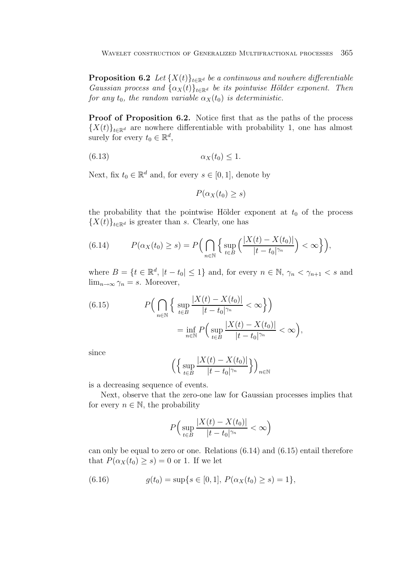**Proposition 6.2** Let  $\{X(t)\}_t \in \mathbb{R}^d$  be a continuous and nowhere differentiable Gaussian process and  $\{\alpha_X(t)\}_{t\in\mathbb{R}^d}$  be its pointwise Hölder exponent. Then for any  $t_0$ , the random variable  $\alpha_X(t_0)$  is deterministic.

**Proof of Proposition 6.2.** Notice first that as the paths of the process  ${X(t)}_{t\in\mathbb{R}^d}$  are nowhere differentiable with probability 1, one has almost surely for every  $t_0 \in \mathbb{R}^d$ ,

$$
\alpha_X(t_0) \le 1.
$$

Next, fix  $t_0 \in \mathbb{R}^d$  and, for every  $s \in [0, 1]$ , denote by

$$
P(\alpha_X(t_0)\geq s)
$$

the probability that the pointwise Hölder exponent at  $t_0$  of the process  ${X(t)}_{t\in\mathbb{R}^d}$  is greater than s. Clearly, one has

(6.14) 
$$
P(\alpha_X(t_0) \ge s) = P\Big(\bigcap_{n \in \mathbb{N}} \Big\{\sup_{t \in B} \Big(\frac{|X(t) - X(t_0)|}{|t - t_0|^{\gamma_n}}\Big) < \infty\Big\}\Big),
$$

where  $B = \{t \in \mathbb{R}^d, |t - t_0| \leq 1\}$  and, for every  $n \in \mathbb{N}, \gamma_n < \gamma_{n+1} < s$  and  $\lim_{n\to\infty}\gamma_n=s.$  Moreover,

(6.15) 
$$
P\Big(\bigcap_{n\in\mathbb{N}}\Big\{\sup_{t\in B}\frac{|X(t)-X(t_0)|}{|t-t_0|^{\gamma_n}}<\infty\Big\}\Big)
$$

$$
=\inf_{n\in\mathbb{N}}P\Big(\sup_{t\in B}\frac{|X(t)-X(t_0)|}{|t-t_0|^{\gamma_n}}<\infty\Big),
$$

since

$$
\left(\left\{\sup_{t\in B}\frac{|X(t)-X(t_0)|}{|t-t_0|^{\gamma_n}}\right\}\right)_{n\in\mathbb{N}}
$$

is a decreasing sequence of events.

Next, observe that the zero-one law for Gaussian processes implies that for every  $n \in \mathbb{N}$ , the probability

$$
P\Big(\sup_{t\in B}\frac{|X(t)-X(t_0)|}{|t-t_0|^{\gamma_n}}<\infty\Big)
$$

can only be equal to zero or one. Relations (6.14) and (6.15) entail therefore that  $P(\alpha_X(t_0) \geq s) = 0$  or 1. If we let

(6.16) 
$$
g(t_0) = \sup\{s \in [0,1], P(\alpha_X(t_0) \ge s) = 1\},\
$$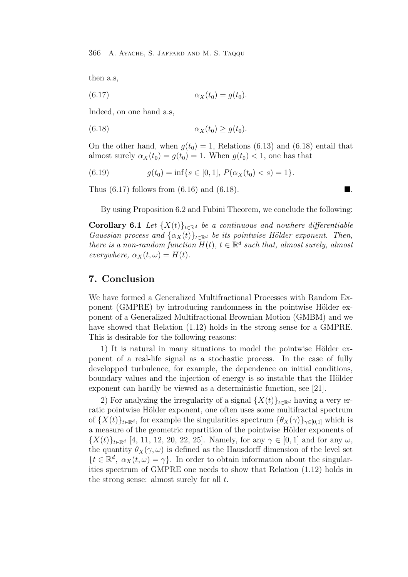then a.s,

$$
\alpha_X(t_0) = g(t_0).
$$

Indeed, on one hand a.s,

(6.18) 
$$
\alpha_X(t_0) \ge g(t_0).
$$

On the other hand, when  $q(t_0) = 1$ , Relations (6.13) and (6.18) entail that almost surely  $\alpha_X(t_0) = g(t_0) = 1$ . When  $g(t_0) < 1$ , one has that

(6.19) 
$$
g(t_0) = \inf\{s \in [0,1], P(\alpha_X(t_0) < s) = 1\}.
$$

Thus  $(6.17)$  follows from  $(6.16)$  and  $(6.18)$ .

By using Proposition 6.2 and Fubini Theorem, we conclude the following:

**Corollary 6.1** Let  $\{X(t)\}_{t\in\mathbb{R}^d}$  be a continuous and nowhere differentiable Gaussian process and  $\{\alpha_X(t)\}_{t\in\mathbb{R}^d}$  be its pointwise Hölder exponent. Then, there is a non-random function  $H(t)$ ,  $t \in \mathbb{R}^d$  such that, almost surely, almost everywhere,  $\alpha_X(t,\omega) = H(t)$ .

# **7. Conclusion**

We have formed a Generalized Multifractional Processes with Random Exponent (GMPRE) by introducing randomness in the pointwise Hölder exponent of a Generalized Multifractional Brownian Motion (GMBM) and we have showed that Relation (1.12) holds in the strong sense for a GMPRE. This is desirable for the following reasons:

1) It is natural in many situations to model the pointwise Hölder exponent of a real-life signal as a stochastic process. In the case of fully developped turbulence, for example, the dependence on initial conditions, boundary values and the injection of energy is so instable that the Hölder exponent can hardly be viewed as a deterministic function, see [21].

2) For analyzing the irregularity of a signal  $\{X(t)\}_{t\in\mathbb{R}^d}$  having a very erratic pointwise Hölder exponent, one often uses some multifractal spectrum of  ${X(t)}_{t\in\mathbb{R}^d}$ , for example the singularities spectrum  ${\theta_X(\gamma)}_{\gamma\in[0,1]}$  which is a measure of the geometric repartition of the pointwise Hölder exponents of  ${X(t)}_{t\in\mathbb{R}^d}$  [4, 11, 12, 20, 22, 25]. Namely, for any  $\gamma \in [0,1]$  and for any  $\omega$ , the quantity  $\theta_X(\gamma,\omega)$  is defined as the Hausdorff dimension of the level set  $\{t \in \mathbb{R}^d, \ \alpha_X(t,\omega) = \gamma\}.$  In order to obtain information about the singularities spectrum of GMPRE one needs to show that Relation (1.12) holds in the strong sense: almost surely for all  $t$ .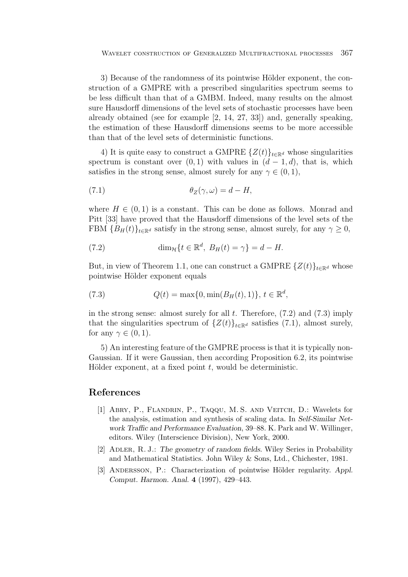3) Because of the randomness of its pointwise Hölder exponent, the construction of a GMPRE with a prescribed singularities spectrum seems to be less difficult than that of a GMBM. Indeed, many results on the almost sure Hausdorff dimensions of the level sets of stochastic processes have been already obtained (see for example [2, 14, 27, 33]) and, generally speaking, the estimation of these Hausdorff dimensions seems to be more accessible than that of the level sets of deterministic functions.

4) It is quite easy to construct a GMPRE  $\{Z(t)\}_{t\in\mathbb{R}^d}$  whose singularities spectrum is constant over  $(0, 1)$  with values in  $(d - 1, d)$ , that is, which satisfies in the strong sense, almost surely for any  $\gamma \in (0, 1)$ ,

(7.1) 
$$
\theta_Z(\gamma,\omega) = d - H,
$$

where  $H \in (0, 1)$  is a constant. This can be done as follows. Monrad and Pitt [33] have proved that the Hausdorff dimensions of the level sets of the FBM  ${B_H(t)}_{t \in \mathbb{R}^d}$  satisfy in the strong sense, almost surely, for any  $\gamma \geq 0$ ,

(7.2) 
$$
\dim_{\mathcal{H}}\{t \in \mathbb{R}^d, B_H(t) = \gamma\} = d - H.
$$

But, in view of Theorem 1.1, one can construct a GMPRE  $\{Z(t)\}_{t\in\mathbb{R}^d}$  whose pointwise Hölder exponent equals

(7.3) 
$$
Q(t) = \max\{0, \min(B_H(t), 1)\}, t \in \mathbb{R}^d,
$$

in the strong sense: almost surely for all  $t$ . Therefore,  $(7.2)$  and  $(7.3)$  imply that the singularities spectrum of  $\{Z(t)\}_{t\in\mathbb{R}^d}$  satisfies (7.1), almost surely, for any  $\gamma \in (0,1)$ .

5) An interesting feature of the GMPRE process is that it is typically non-Gaussian. If it were Gaussian, then according Proposition 6.2, its pointwise Hölder exponent, at a fixed point  $t$ , would be deterministic.

# **References**

- [1] Abry, P., Flandrin, P., Taqqu, M. S. and Veitch, D.: Wavelets for the analysis, estimation and synthesis of scaling data. In *Self-Similar Network Traffic and Performance Evaluation*, 39–88. K. Park and W. Willinger, editors. Wiley (Interscience Division), New York, 2000.
- [2] Adler, R. J.: *The geometry of random fields*. Wiley Series in Probability and Mathematical Statistics. John Wiley & Sons, Ltd., Chichester, 1981.
- [3] ANDERSSON, P.: Characterization of pointwise Hölder regularity. *Appl. Comput. Harmon. Anal.* **4** (1997), 429–443.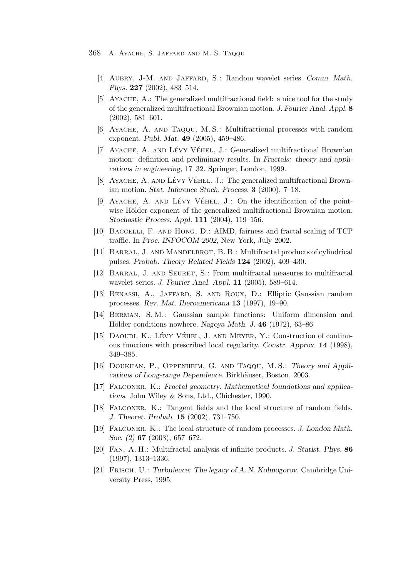- [4] Aubry, J-M. and Jaffard, S.: Random wavelet series. *Comm. Math. Phys.* **227** (2002), 483–514.
- [5] Ayache, A.: The generalized multifractional field: a nice tool for the study of the generalized multifractional Brownian motion. *J. Fourier Anal. Appl.* **8** (2002), 581–601.
- [6] Ayache, A. and Taqqu, M. S.: Multifractional processes with random exponent. *Publ. Mat.* **49** (2005), 459–486.
- [7] AYACHE, A. AND LÉVY VÉHEL, J.: Generalized multifractional Brownian motion: definition and preliminary results. In *Fractals: theory and applications in engineering*, 17–32. Springer, London, 1999.
- [8] AYACHE, A. AND LÉVY VÉHEL, J.: The generalized multifractional Brownian motion. *Stat. Inference Stoch. Process.* **3** (2000), 7–18.
- [9] AYACHE, A. AND LÉVY VÉHEL, J.: On the identification of the pointwise Hölder exponent of the generalized multifractional Brownian motion. *Stochastic Process. Appl.* **111** (2004), 119–156.
- [10] Baccelli, F. and Hong, D.: AIMD, fairness and fractal scaling of TCP traffic. In *Proc. INFOCOM 2002*, New York, July 2002.
- [11] Barral, J. and Mandelbrot, B. B.: Multifractal products of cylindrical pulses. *Probab. Theory Related Fields* **124** (2002), 409–430.
- [12] Barral, J. and Seuret, S.: From multifractal measures to multifractal wavelet series. *J. Fourier Anal. Appl.* **11** (2005), 589–614.
- [13] Benassi, A., Jaffard, S. and Roux, D.: Elliptic Gaussian random processes. *Rev. Mat. Iberoamericana* **13** (1997), 19–90.
- [14] Berman, S. M.: Gaussian sample functions: Uniform dimension and Hölder conditions nowhere. *Nagoya Math. J.* 46 (1972), 63–86
- [15] DAOUDI, K., LÉVY VÉHEL, J. AND MEYER, Y.: Construction of continuous functions with prescribed local regularity. *Constr. Approx.* **14** (1998), 349–385.
- [16] Doukhan, P., Oppenheim, G. and Taqqu, M. S.: *Theory and Applications of Long-range Dependence. Birkhäuser, Boston, 2003.*
- [17] Falconer, K.: *Fractal geometry. Mathematical foundations and applications*. John Wiley & Sons, Ltd., Chichester, 1990.
- [18] Falconer, K.: Tangent fields and the local structure of random fields. *J. Theoret. Probab.* **15** (2002), 731–750.
- [19] Falconer, K.: The local structure of random processes. *J. London Math. Soc. (2)* **67** (2003), 657–672.
- [20] Fan, A. H.: Multifractal analysis of infinite products. *J. Statist. Phys.* **86** (1997), 1313–1336.
- [21] Frisch, U.: *Turbulence: The legacy of A. N. Kolmogorov*. Cambridge University Press, 1995.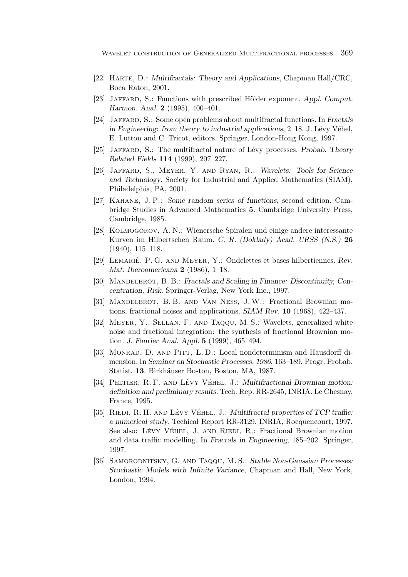- [22] Harte, D.: *Multifractals: Theory and Applications*, Chapman Hall/CRC, Boca Raton, 2001.
- [23] JAFFARD, S.: Functions with prescribed Hölder exponent. *Appl. Comput. Harmon. Anal.* **2** (1995), 400–401.
- [24] Jaffard, S.: Some open problems about multifractal functions. In *Fractals in Engineering: from theory to industrial applications*, 2–18. J. Lévy Véhel, E. Lutton and C. Tricot, editors. Springer, London-Hong Kong, 1997.
- [25] Jaffard, S.: The multifractal nature of L´evy processes. *Probab. Theory Related Fields* **114** (1999), 207–227.
- [26] Jaffard, S., Meyer, Y. and Ryan, R.: *Wavelets: Tools for Science and Technology*. Society for Industrial and Applied Mathematics (SIAM), Philadelphia, PA, 2001.
- [27] Kahane, J. P.: *Some random series of functions*, second edition. Cambridge Studies in Advanced Mathematics **5**. Cambridge University Press, Cambridge, 1985.
- [28] Kolmogorov, A. N.: Wienersche Spiralen und einige andere interessante Kurven im Hilbertschen Raum. *C. R. (Doklady) Acad. URSS (N.S.)* **26** (1940), 115–118.
- [29] LEMARIÉ, P. G. AND MEYER, Y.: Ondelettes et bases hilbertiennes. Rev. *Mat. Iberoamericana* **2** (1986), 1–18.
- [30] MANDELBROT, B. B.: *Fractals and Scaling in Finance: Discontinuity, Concentration, Risk*. Springer-Verlag, New York Inc., 1997.
- [31] Mandelbrot, B. B. and Van Ness, J.W.: Fractional Brownian motions, fractional noises and applications. *SIAM Rev.* **10** (1968), 422–437.
- [32] Meyer, Y., Sellan, F. and Taqqu, M. S.: Wavelets, generalized white noise and fractional integration: the synthesis of fractional Brownian motion. *J. Fourier Anal. Appl.* **5** (1999), 465–494.
- [33] Monrad, D. and Pitt, L. D.: Local nondeterminism and Hausdorff dimension. In *Seminar on Stochastic Processes, 1986*, 163–189. Progr. Probab. Statist. **13**. Birkhäuser Boston, Boston, MA, 1987.
- [34] PELTIER, R. F. AND LÉVY VÉHEL, J.: *Multifractional Brownian motion*: *definition and preliminary results*. Tech. Rep. RR-2645, INRIA. Le Chesnay, France, 1995.
- [35] RIEDI, R. H. AND LÉVY VÉHEL, J.: *Multifractal properties of TCP traffic*: *a numerical study*. Techical Report RR-3129. INRIA, Rocquencourt, 1997. See also: LÉVY VÉHEL, J. AND RIEDI, R.: Fractional Brownian motion and data traffic modelling. In *Fractals in Engineering*, 185–202. Springer, 1997.
- [36] Samorodnitsky, G. and Taqqu, M. S.: *Stable Non-Gaussian Processes: Stochastic Models with Infinite Variance*, Chapman and Hall, New York, London, 1994.